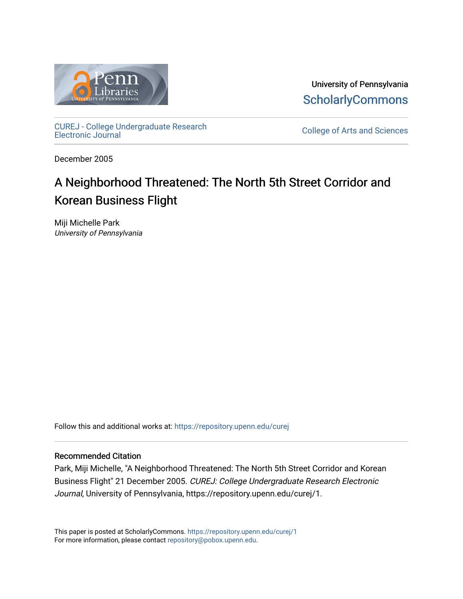

University of Pennsylvania **ScholarlyCommons** 

[CUREJ - College Undergraduate Research](https://repository.upenn.edu/curej) 

College of Arts and Sciences

December 2005

### A Neighborhood Threatened: The North 5th Street Corridor and Korean Business Flight

Miji Michelle Park University of Pennsylvania

Follow this and additional works at: [https://repository.upenn.edu/curej](https://repository.upenn.edu/curej?utm_source=repository.upenn.edu%2Fcurej%2F1&utm_medium=PDF&utm_campaign=PDFCoverPages)

#### Recommended Citation

Park, Miji Michelle, "A Neighborhood Threatened: The North 5th Street Corridor and Korean Business Flight" 21 December 2005. CUREJ: College Undergraduate Research Electronic Journal, University of Pennsylvania, https://repository.upenn.edu/curej/1.

This paper is posted at ScholarlyCommons.<https://repository.upenn.edu/curej/1> For more information, please contact [repository@pobox.upenn.edu.](mailto:repository@pobox.upenn.edu)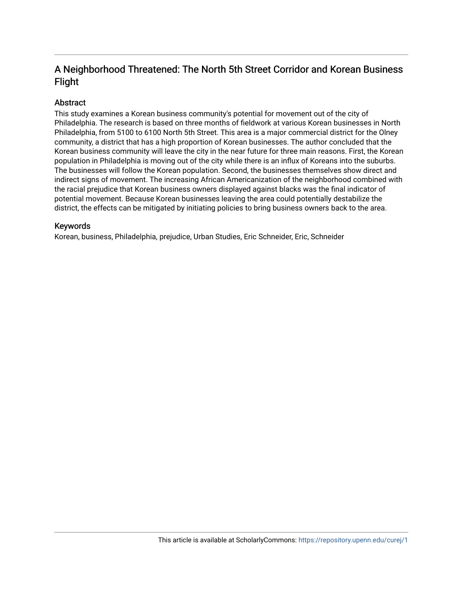#### A Neighborhood Threatened: The North 5th Street Corridor and Korean Business Flight

#### Abstract

This study examines a Korean business community's potential for movement out of the city of Philadelphia. The research is based on three months of fieldwork at various Korean businesses in North Philadelphia, from 5100 to 6100 North 5th Street. This area is a major commercial district for the Olney community, a district that has a high proportion of Korean businesses. The author concluded that the Korean business community will leave the city in the near future for three main reasons. First, the Korean population in Philadelphia is moving out of the city while there is an influx of Koreans into the suburbs. The businesses will follow the Korean population. Second, the businesses themselves show direct and indirect signs of movement. The increasing African Americanization of the neighborhood combined with the racial prejudice that Korean business owners displayed against blacks was the final indicator of potential movement. Because Korean businesses leaving the area could potentially destabilize the district, the effects can be mitigated by initiating policies to bring business owners back to the area.

#### Keywords

Korean, business, Philadelphia, prejudice, Urban Studies, Eric Schneider, Eric, Schneider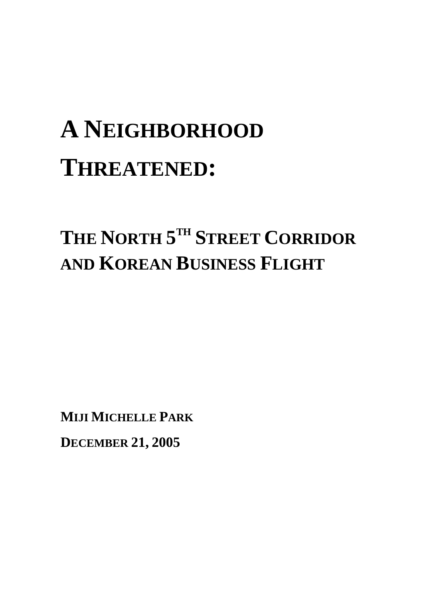# **A NEIGHBORHOOD THREATENED:**

## **THE NORTH 5TH STREET CORRIDOR AND KOREAN BUSINESS FLIGHT**

**MIJI MICHELLE PARK**

**DECEMBER 21, 2005**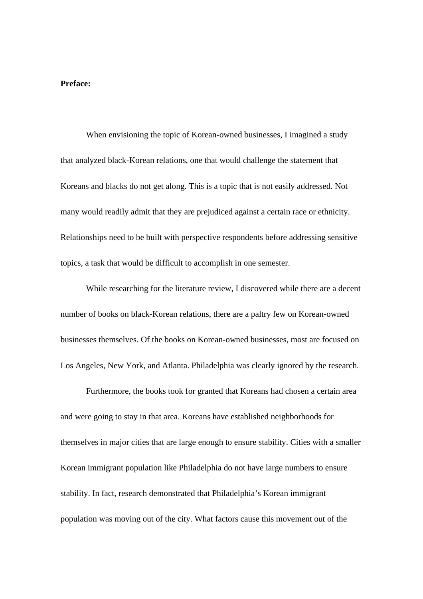#### **Preface:**

 When envisioning the topic of Korean-owned businesses, I imagined a study that analyzed black-Korean relations, one that would challenge the statement that Koreans and blacks do not get along. This is a topic that is not easily addressed. Not many would readily admit that they are prejudiced against a certain race or ethnicity. Relationships need to be built with perspective respondents before addressing sensitive topics, a task that would be difficult to accomplish in one semester.

 While researching for the literature review, I discovered while there are a decent number of books on black-Korean relations, there are a paltry few on Korean-owned businesses themselves. Of the books on Korean-owned businesses, most are focused on Los Angeles, New York, and Atlanta. Philadelphia was clearly ignored by the research.

Furthermore, the books took for granted that Koreans had chosen a certain area and were going to stay in that area. Koreans have established neighborhoods for themselves in major cities that are large enough to ensure stability. Cities with a smaller Korean immigrant population like Philadelphia do not have large numbers to ensure stability. In fact, research demonstrated that Philadelphia's Korean immigrant population was moving out of the city. What factors cause this movement out of the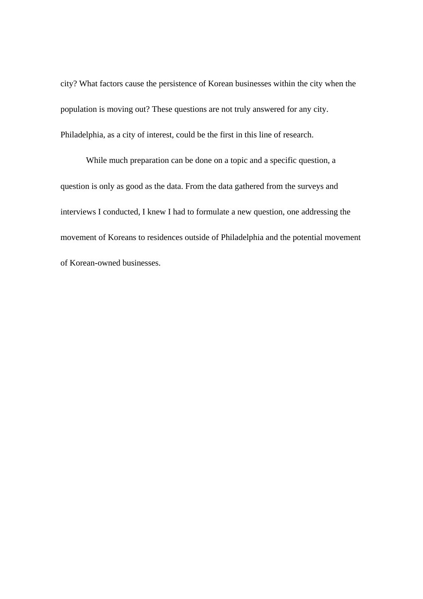city? What factors cause the persistence of Korean businesses within the city when the population is moving out? These questions are not truly answered for any city. Philadelphia, as a city of interest, could be the first in this line of research.

While much preparation can be done on a topic and a specific question, a question is only as good as the data. From the data gathered from the surveys and interviews I conducted, I knew I had to formulate a new question, one addressing the movement of Koreans to residences outside of Philadelphia and the potential movement of Korean-owned businesses.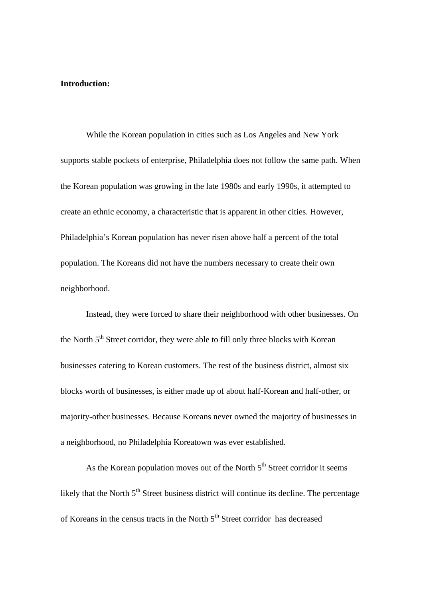#### **Introduction:**

 While the Korean population in cities such as Los Angeles and New York supports stable pockets of enterprise, Philadelphia does not follow the same path. When the Korean population was growing in the late 1980s and early 1990s, it attempted to create an ethnic economy, a characteristic that is apparent in other cities. However, Philadelphia's Korean population has never risen above half a percent of the total population. The Koreans did not have the numbers necessary to create their own neighborhood.

 Instead, they were forced to share their neighborhood with other businesses. On the North  $5<sup>th</sup>$  Street corridor, they were able to fill only three blocks with Korean businesses catering to Korean customers. The rest of the business district, almost six blocks worth of businesses, is either made up of about half-Korean and half-other, or majority-other businesses. Because Koreans never owned the majority of businesses in a neighborhood, no Philadelphia Koreatown was ever established.

As the Korean population moves out of the North  $5<sup>th</sup>$  Street corridor it seems likely that the North  $5<sup>th</sup>$  Street business district will continue its decline. The percentage of Koreans in the census tracts in the North  $5<sup>th</sup>$  Street corridor has decreased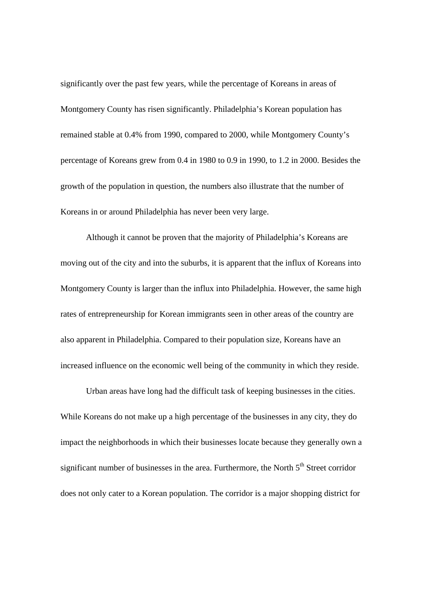significantly over the past few years, while the percentage of Koreans in areas of Montgomery County has risen significantly. Philadelphia's Korean population has remained stable at 0.4% from 1990, compared to 2000, while Montgomery County's percentage of Koreans grew from 0.4 in 1980 to 0.9 in 1990, to 1.2 in 2000. Besides the growth of the population in question, the numbers also illustrate that the number of Koreans in or around Philadelphia has never been very large.

Although it cannot be proven that the majority of Philadelphia's Koreans are moving out of the city and into the suburbs, it is apparent that the influx of Koreans into Montgomery County is larger than the influx into Philadelphia. However, the same high rates of entrepreneurship for Korean immigrants seen in other areas of the country are also apparent in Philadelphia. Compared to their population size, Koreans have an increased influence on the economic well being of the community in which they reside.

Urban areas have long had the difficult task of keeping businesses in the cities. While Koreans do not make up a high percentage of the businesses in any city, they do impact the neighborhoods in which their businesses locate because they generally own a significant number of businesses in the area. Furthermore, the North  $5<sup>th</sup>$  Street corridor does not only cater to a Korean population. The corridor is a major shopping district for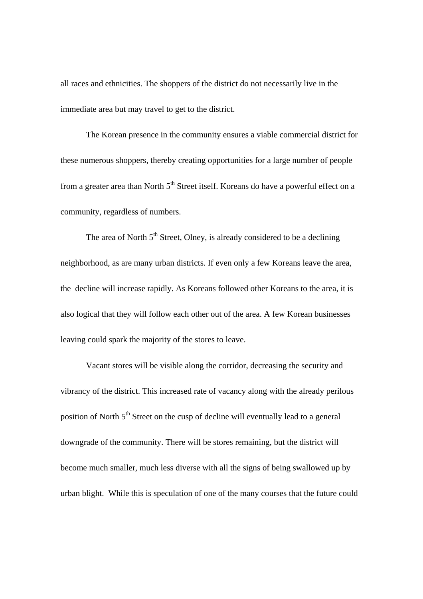all races and ethnicities. The shoppers of the district do not necessarily live in the immediate area but may travel to get to the district.

The Korean presence in the community ensures a viable commercial district for these numerous shoppers, thereby creating opportunities for a large number of people from a greater area than North  $5<sup>th</sup>$  Street itself. Koreans do have a powerful effect on a community, regardless of numbers.

The area of North  $5<sup>th</sup>$  Street, Olney, is already considered to be a declining neighborhood, as are many urban districts. If even only a few Koreans leave the area, the decline will increase rapidly. As Koreans followed other Koreans to the area, it is also logical that they will follow each other out of the area. A few Korean businesses leaving could spark the majority of the stores to leave.

Vacant stores will be visible along the corridor, decreasing the security and vibrancy of the district. This increased rate of vacancy along with the already perilous position of North 5<sup>th</sup> Street on the cusp of decline will eventually lead to a general downgrade of the community. There will be stores remaining, but the district will become much smaller, much less diverse with all the signs of being swallowed up by urban blight. While this is speculation of one of the many courses that the future could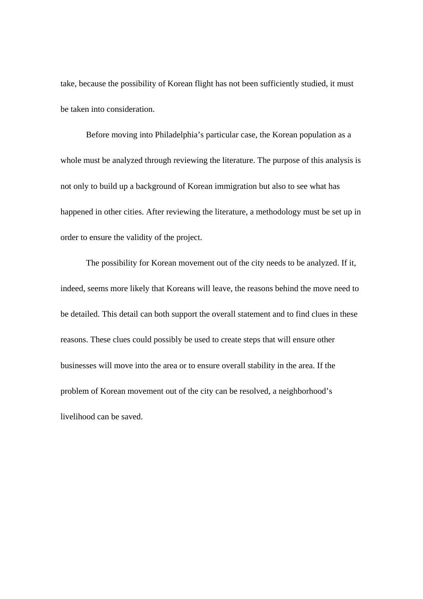take, because the possibility of Korean flight has not been sufficiently studied, it must be taken into consideration.

Before moving into Philadelphia's particular case, the Korean population as a whole must be analyzed through reviewing the literature. The purpose of this analysis is not only to build up a background of Korean immigration but also to see what has happened in other cities. After reviewing the literature, a methodology must be set up in order to ensure the validity of the project.

The possibility for Korean movement out of the city needs to be analyzed. If it, indeed, seems more likely that Koreans will leave, the reasons behind the move need to be detailed. This detail can both support the overall statement and to find clues in these reasons. These clues could possibly be used to create steps that will ensure other businesses will move into the area or to ensure overall stability in the area. If the problem of Korean movement out of the city can be resolved, a neighborhood's livelihood can be saved.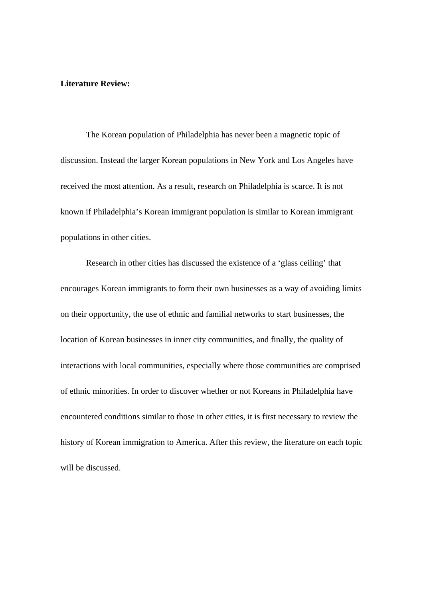#### **Literature Review:**

The Korean population of Philadelphia has never been a magnetic topic of discussion. Instead the larger Korean populations in New York and Los Angeles have received the most attention. As a result, research on Philadelphia is scarce. It is not known if Philadelphia's Korean immigrant population is similar to Korean immigrant populations in other cities.

Research in other cities has discussed the existence of a 'glass ceiling' that encourages Korean immigrants to form their own businesses as a way of avoiding limits on their opportunity, the use of ethnic and familial networks to start businesses, the location of Korean businesses in inner city communities, and finally, the quality of interactions with local communities, especially where those communities are comprised of ethnic minorities. In order to discover whether or not Koreans in Philadelphia have encountered conditions similar to those in other cities, it is first necessary to review the history of Korean immigration to America. After this review, the literature on each topic will be discussed.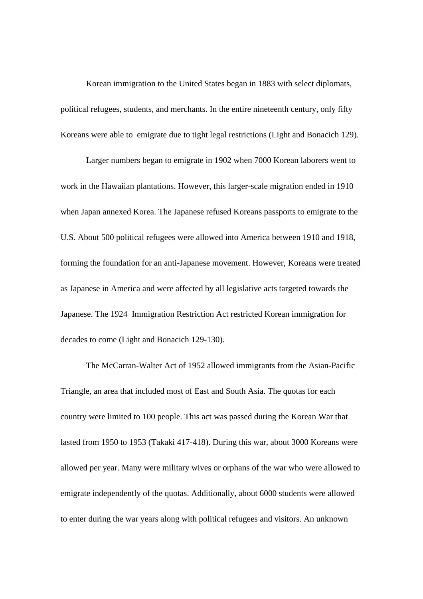Korean immigration to the United States began in 1883 with select diplomats, political refugees, students, and merchants. In the entire nineteenth century, only fifty Koreans were able to emigrate due to tight legal restrictions (Light and Bonacich 129).

 Larger numbers began to emigrate in 1902 when 7000 Korean laborers went to work in the Hawaiian plantations. However, this larger-scale migration ended in 1910 when Japan annexed Korea. The Japanese refused Koreans passports to emigrate to the U.S. About 500 political refugees were allowed into America between 1910 and 1918, forming the foundation for an anti-Japanese movement. However, Koreans were treated as Japanese in America and were affected by all legislative acts targeted towards the Japanese. The 1924 Immigration Restriction Act restricted Korean immigration for decades to come (Light and Bonacich 129-130).

 The McCarran-Walter Act of 1952 allowed immigrants from the Asian-Pacific Triangle, an area that included most of East and South Asia. The quotas for each country were limited to 100 people. This act was passed during the Korean War that lasted from 1950 to 1953 (Takaki 417-418). During this war, about 3000 Koreans were allowed per year. Many were military wives or orphans of the war who were allowed to emigrate independently of the quotas. Additionally, about 6000 students were allowed to enter during the war years along with political refugees and visitors. An unknown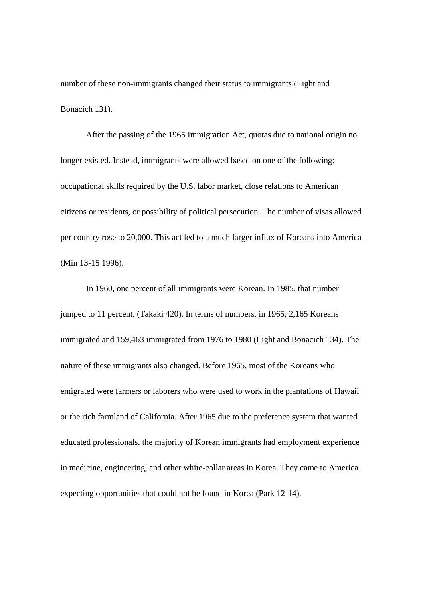number of these non-immigrants changed their status to immigrants (Light and Bonacich 131).

 After the passing of the 1965 Immigration Act, quotas due to national origin no longer existed. Instead, immigrants were allowed based on one of the following: occupational skills required by the U.S. labor market, close relations to American citizens or residents, or possibility of political persecution. The number of visas allowed per country rose to 20,000. This act led to a much larger influx of Koreans into America (Min 13-15 1996).

 In 1960, one percent of all immigrants were Korean. In 1985, that number jumped to 11 percent. (Takaki 420). In terms of numbers, in 1965, 2,165 Koreans immigrated and 159,463 immigrated from 1976 to 1980 (Light and Bonacich 134). The nature of these immigrants also changed. Before 1965, most of the Koreans who emigrated were farmers or laborers who were used to work in the plantations of Hawaii or the rich farmland of California. After 1965 due to the preference system that wanted educated professionals, the majority of Korean immigrants had employment experience in medicine, engineering, and other white-collar areas in Korea. They came to America expecting opportunities that could not be found in Korea (Park 12-14).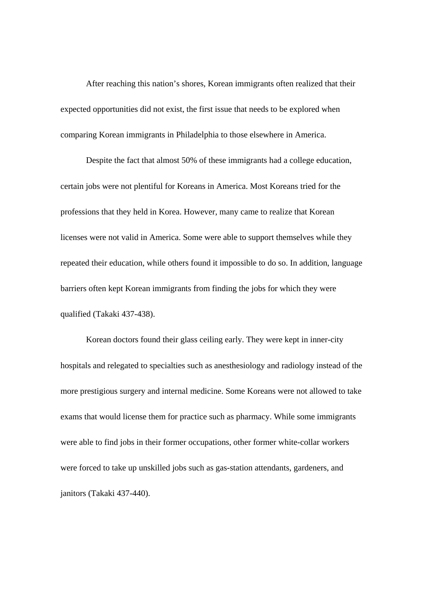After reaching this nation's shores, Korean immigrants often realized that their expected opportunities did not exist, the first issue that needs to be explored when comparing Korean immigrants in Philadelphia to those elsewhere in America.

 Despite the fact that almost 50% of these immigrants had a college education, certain jobs were not plentiful for Koreans in America. Most Koreans tried for the professions that they held in Korea. However, many came to realize that Korean licenses were not valid in America. Some were able to support themselves while they repeated their education, while others found it impossible to do so. In addition, language barriers often kept Korean immigrants from finding the jobs for which they were qualified (Takaki 437-438).

Korean doctors found their glass ceiling early. They were kept in inner-city hospitals and relegated to specialties such as anesthesiology and radiology instead of the more prestigious surgery and internal medicine. Some Koreans were not allowed to take exams that would license them for practice such as pharmacy. While some immigrants were able to find jobs in their former occupations, other former white-collar workers were forced to take up unskilled jobs such as gas-station attendants, gardeners, and janitors (Takaki 437-440).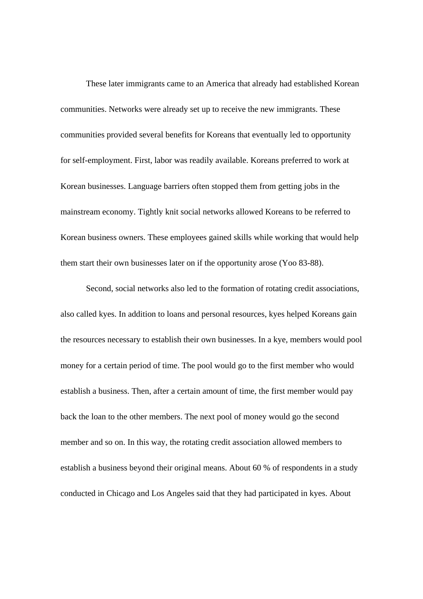These later immigrants came to an America that already had established Korean communities. Networks were already set up to receive the new immigrants. These communities provided several benefits for Koreans that eventually led to opportunity for self-employment. First, labor was readily available. Koreans preferred to work at Korean businesses. Language barriers often stopped them from getting jobs in the mainstream economy. Tightly knit social networks allowed Koreans to be referred to Korean business owners. These employees gained skills while working that would help them start their own businesses later on if the opportunity arose (Yoo 83-88).

Second, social networks also led to the formation of rotating credit associations, also called kyes. In addition to loans and personal resources, kyes helped Koreans gain the resources necessary to establish their own businesses. In a kye, members would pool money for a certain period of time. The pool would go to the first member who would establish a business. Then, after a certain amount of time, the first member would pay back the loan to the other members. The next pool of money would go the second member and so on. In this way, the rotating credit association allowed members to establish a business beyond their original means. About 60 % of respondents in a study conducted in Chicago and Los Angeles said that they had participated in kyes. About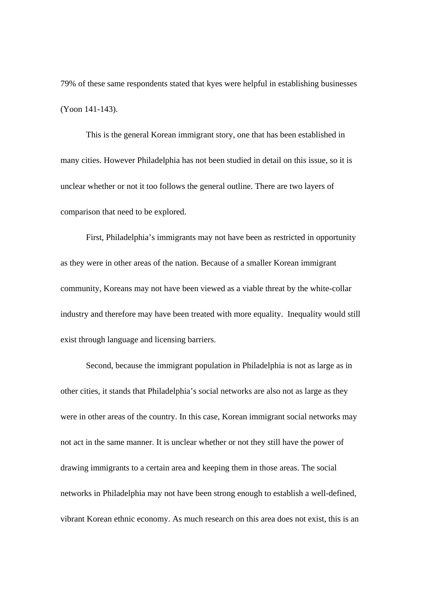79% of these same respondents stated that kyes were helpful in establishing businesses (Yoon 141-143).

 This is the general Korean immigrant story, one that has been established in many cities. However Philadelphia has not been studied in detail on this issue, so it is unclear whether or not it too follows the general outline. There are two layers of comparison that need to be explored.

First, Philadelphia's immigrants may not have been as restricted in opportunity as they were in other areas of the nation. Because of a smaller Korean immigrant community, Koreans may not have been viewed as a viable threat by the white-collar industry and therefore may have been treated with more equality. Inequality would still exist through language and licensing barriers.

Second, because the immigrant population in Philadelphia is not as large as in other cities, it stands that Philadelphia's social networks are also not as large as they were in other areas of the country. In this case, Korean immigrant social networks may not act in the same manner. It is unclear whether or not they still have the power of drawing immigrants to a certain area and keeping them in those areas. The social networks in Philadelphia may not have been strong enough to establish a well-defined, vibrant Korean ethnic economy. As much research on this area does not exist, this is an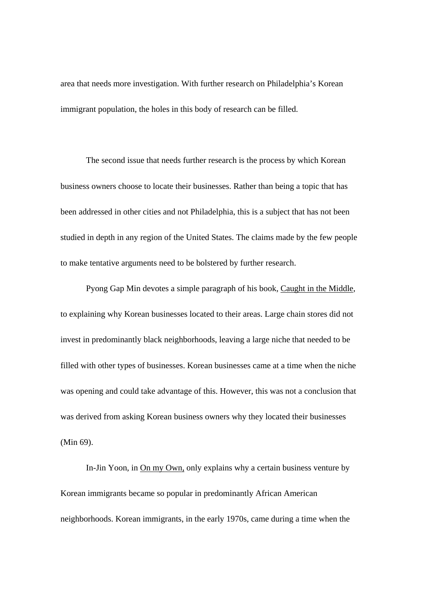area that needs more investigation. With further research on Philadelphia's Korean immigrant population, the holes in this body of research can be filled.

The second issue that needs further research is the process by which Korean business owners choose to locate their businesses. Rather than being a topic that has been addressed in other cities and not Philadelphia, this is a subject that has not been studied in depth in any region of the United States. The claims made by the few people to make tentative arguments need to be bolstered by further research.

Pyong Gap Min devotes a simple paragraph of his book, Caught in the Middle, to explaining why Korean businesses located to their areas. Large chain stores did not invest in predominantly black neighborhoods, leaving a large niche that needed to be filled with other types of businesses. Korean businesses came at a time when the niche was opening and could take advantage of this. However, this was not a conclusion that was derived from asking Korean business owners why they located their businesses (Min 69).

In-Jin Yoon, in On my Own, only explains why a certain business venture by Korean immigrants became so popular in predominantly African American neighborhoods. Korean immigrants, in the early 1970s, came during a time when the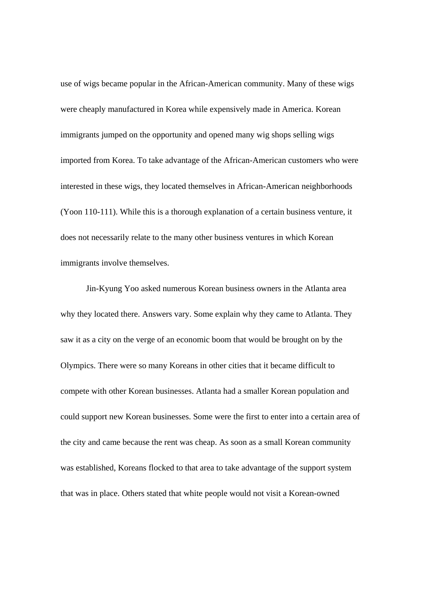use of wigs became popular in the African-American community. Many of these wigs were cheaply manufactured in Korea while expensively made in America. Korean immigrants jumped on the opportunity and opened many wig shops selling wigs imported from Korea. To take advantage of the African-American customers who were interested in these wigs, they located themselves in African-American neighborhoods (Yoon 110-111). While this is a thorough explanation of a certain business venture, it does not necessarily relate to the many other business ventures in which Korean immigrants involve themselves.

Jin-Kyung Yoo asked numerous Korean business owners in the Atlanta area why they located there. Answers vary. Some explain why they came to Atlanta. They saw it as a city on the verge of an economic boom that would be brought on by the Olympics. There were so many Koreans in other cities that it became difficult to compete with other Korean businesses. Atlanta had a smaller Korean population and could support new Korean businesses. Some were the first to enter into a certain area of the city and came because the rent was cheap. As soon as a small Korean community was established, Koreans flocked to that area to take advantage of the support system that was in place. Others stated that white people would not visit a Korean-owned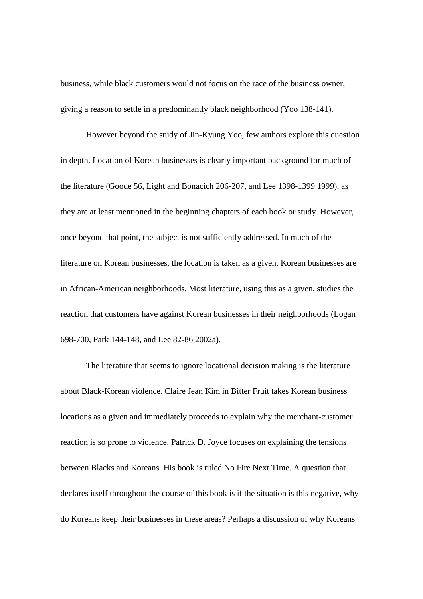business, while black customers would not focus on the race of the business owner, giving a reason to settle in a predominantly black neighborhood (Yoo 138-141).

However beyond the study of Jin-Kyung Yoo, few authors explore this question in depth. Location of Korean businesses is clearly important background for much of the literature (Goode 56, Light and Bonacich 206-207, and Lee 1398-1399 1999), as they are at least mentioned in the beginning chapters of each book or study. However, once beyond that point, the subject is not sufficiently addressed. In much of the literature on Korean businesses, the location is taken as a given. Korean businesses are in African-American neighborhoods. Most literature, using this as a given, studies the reaction that customers have against Korean businesses in their neighborhoods (Logan 698-700, Park 144-148, and Lee 82-86 2002a).

The literature that seems to ignore locational decision making is the literature about Black-Korean violence. Claire Jean Kim in Bitter Fruit takes Korean business locations as a given and immediately proceeds to explain why the merchant-customer reaction is so prone to violence. Patrick D. Joyce focuses on explaining the tensions between Blacks and Koreans. His book is titled No Fire Next Time. A question that declares itself throughout the course of this book is if the situation is this negative, why do Koreans keep their businesses in these areas? Perhaps a discussion of why Koreans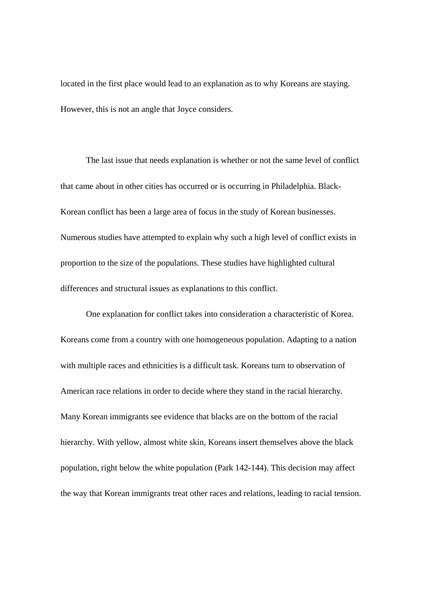located in the first place would lead to an explanation as to why Koreans are staying. However, this is not an angle that Joyce considers.

The last issue that needs explanation is whether or not the same level of conflict that came about in other cities has occurred or is occurring in Philadelphia. Black-Korean conflict has been a large area of focus in the study of Korean businesses. Numerous studies have attempted to explain why such a high level of conflict exists in proportion to the size of the populations. These studies have highlighted cultural differences and structural issues as explanations to this conflict.

One explanation for conflict takes into consideration a characteristic of Korea. Koreans come from a country with one homogeneous population. Adapting to a nation with multiple races and ethnicities is a difficult task. Koreans turn to observation of American race relations in order to decide where they stand in the racial hierarchy. Many Korean immigrants see evidence that blacks are on the bottom of the racial hierarchy. With yellow, almost white skin, Koreans insert themselves above the black population, right below the white population (Park 142-144). This decision may affect the way that Korean immigrants treat other races and relations, leading to racial tension.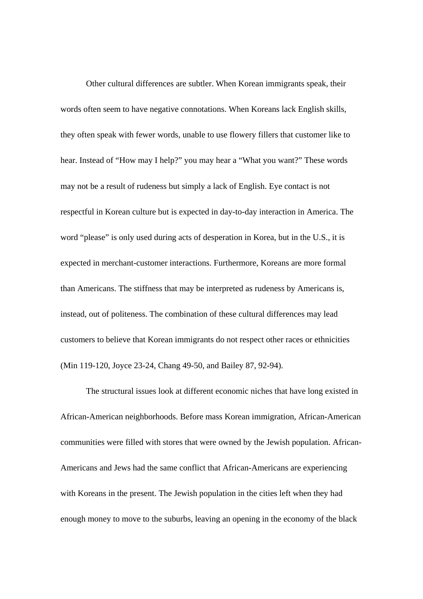Other cultural differences are subtler. When Korean immigrants speak, their words often seem to have negative connotations. When Koreans lack English skills, they often speak with fewer words, unable to use flowery fillers that customer like to hear. Instead of "How may I help?" you may hear a "What you want?" These words may not be a result of rudeness but simply a lack of English. Eye contact is not respectful in Korean culture but is expected in day-to-day interaction in America. The word "please" is only used during acts of desperation in Korea, but in the U.S., it is expected in merchant-customer interactions. Furthermore, Koreans are more formal than Americans. The stiffness that may be interpreted as rudeness by Americans is, instead, out of politeness. The combination of these cultural differences may lead customers to believe that Korean immigrants do not respect other races or ethnicities (Min 119-120, Joyce 23-24, Chang 49-50, and Bailey 87, 92-94).

The structural issues look at different economic niches that have long existed in African-American neighborhoods. Before mass Korean immigration, African-American communities were filled with stores that were owned by the Jewish population. African-Americans and Jews had the same conflict that African-Americans are experiencing with Koreans in the present. The Jewish population in the cities left when they had enough money to move to the suburbs, leaving an opening in the economy of the black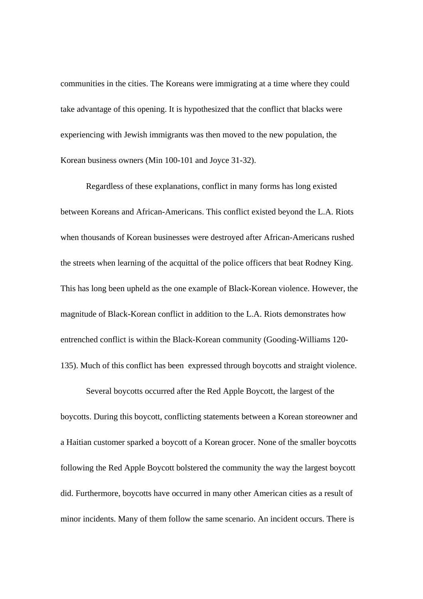communities in the cities. The Koreans were immigrating at a time where they could take advantage of this opening. It is hypothesized that the conflict that blacks were experiencing with Jewish immigrants was then moved to the new population, the Korean business owners (Min 100-101 and Joyce 31-32).

Regardless of these explanations, conflict in many forms has long existed between Koreans and African-Americans. This conflict existed beyond the L.A. Riots when thousands of Korean businesses were destroyed after African-Americans rushed the streets when learning of the acquittal of the police officers that beat Rodney King. This has long been upheld as the one example of Black-Korean violence. However, the magnitude of Black-Korean conflict in addition to the L.A. Riots demonstrates how entrenched conflict is within the Black-Korean community (Gooding-Williams 120- 135). Much of this conflict has been expressed through boycotts and straight violence.

Several boycotts occurred after the Red Apple Boycott, the largest of the boycotts. During this boycott, conflicting statements between a Korean storeowner and a Haitian customer sparked a boycott of a Korean grocer. None of the smaller boycotts following the Red Apple Boycott bolstered the community the way the largest boycott did. Furthermore, boycotts have occurred in many other American cities as a result of minor incidents. Many of them follow the same scenario. An incident occurs. There is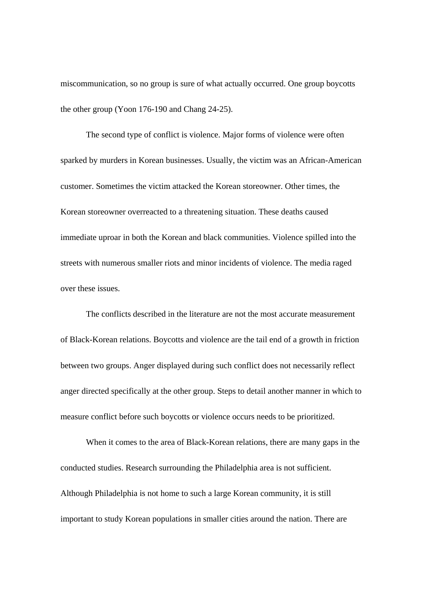miscommunication, so no group is sure of what actually occurred. One group boycotts the other group (Yoon 176-190 and Chang 24-25).

The second type of conflict is violence. Major forms of violence were often sparked by murders in Korean businesses. Usually, the victim was an African-American customer. Sometimes the victim attacked the Korean storeowner. Other times, the Korean storeowner overreacted to a threatening situation. These deaths caused immediate uproar in both the Korean and black communities. Violence spilled into the streets with numerous smaller riots and minor incidents of violence. The media raged over these issues.

The conflicts described in the literature are not the most accurate measurement of Black-Korean relations. Boycotts and violence are the tail end of a growth in friction between two groups. Anger displayed during such conflict does not necessarily reflect anger directed specifically at the other group. Steps to detail another manner in which to measure conflict before such boycotts or violence occurs needs to be prioritized.

When it comes to the area of Black-Korean relations, there are many gaps in the conducted studies. Research surrounding the Philadelphia area is not sufficient. Although Philadelphia is not home to such a large Korean community, it is still important to study Korean populations in smaller cities around the nation. There are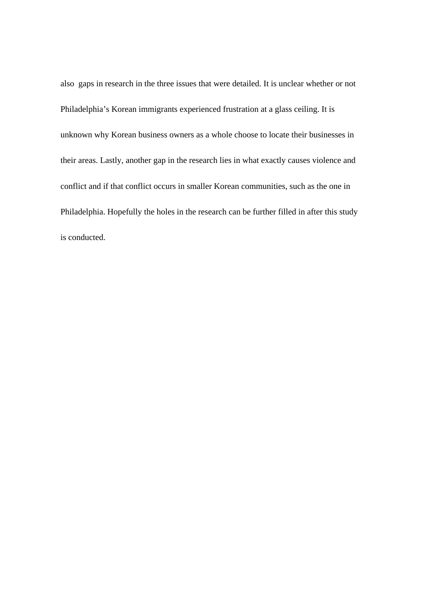also gaps in research in the three issues that were detailed. It is unclear whether or not Philadelphia's Korean immigrants experienced frustration at a glass ceiling. It is unknown why Korean business owners as a whole choose to locate their businesses in their areas. Lastly, another gap in the research lies in what exactly causes violence and conflict and if that conflict occurs in smaller Korean communities, such as the one in Philadelphia. Hopefully the holes in the research can be further filled in after this study is conducted.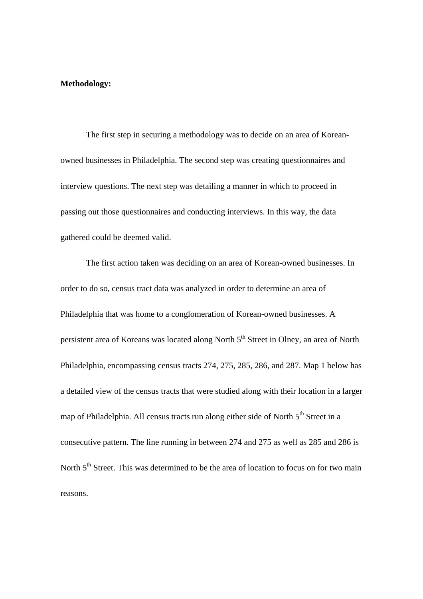#### **Methodology:**

 The first step in securing a methodology was to decide on an area of Koreanowned businesses in Philadelphia. The second step was creating questionnaires and interview questions. The next step was detailing a manner in which to proceed in passing out those questionnaires and conducting interviews. In this way, the data gathered could be deemed valid.

The first action taken was deciding on an area of Korean-owned businesses. In order to do so, census tract data was analyzed in order to determine an area of Philadelphia that was home to a conglomeration of Korean-owned businesses. A persistent area of Koreans was located along North 5<sup>th</sup> Street in Olney, an area of North Philadelphia, encompassing census tracts 274, 275, 285, 286, and 287. Map 1 below has a detailed view of the census tracts that were studied along with their location in a larger map of Philadelphia. All census tracts run along either side of North  $5<sup>th</sup>$  Street in a consecutive pattern. The line running in between 274 and 275 as well as 285 and 286 is North 5<sup>th</sup> Street. This was determined to be the area of location to focus on for two main reasons.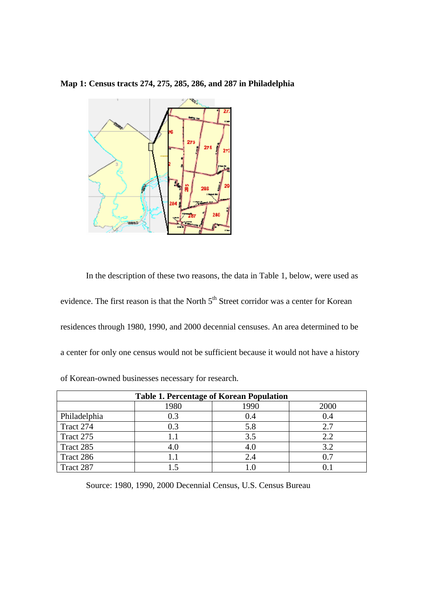#### **Map 1: Census tracts 274, 275, 285, 286, and 287 in Philadelphia**



In the description of these two reasons, the data in Table 1, below, were used as evidence. The first reason is that the North  $5<sup>th</sup>$  Street corridor was a center for Korean residences through 1980, 1990, and 2000 decennial censuses. An area determined to be a center for only one census would not be sufficient because it would not have a history of Korean-owned businesses necessary for research.

| <b>Table 1. Percentage of Korean Population</b> |      |      |      |
|-------------------------------------------------|------|------|------|
|                                                 | 1980 | 1990 | 2000 |
| Philadelphia                                    | 0.3  | 0.4  | 0.4  |
| Tract 274                                       | 0.3  | 5.8  | 2.7  |
| Tract 275                                       | 1.1  | 3.5  | 2.2  |
| Tract 285                                       | 4.0  | 4.0  | 3.2  |
| Tract 286                                       |      | 2.4  | 0.7  |
| Tract 287                                       |      |      |      |

Source: 1980, 1990, 2000 Decennial Census, U.S. Census Bureau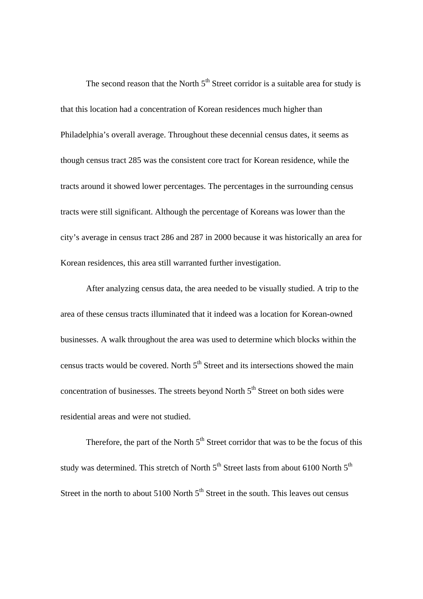The second reason that the North  $5<sup>th</sup>$  Street corridor is a suitable area for study is that this location had a concentration of Korean residences much higher than Philadelphia's overall average. Throughout these decennial census dates, it seems as though census tract 285 was the consistent core tract for Korean residence, while the tracts around it showed lower percentages. The percentages in the surrounding census tracts were still significant. Although the percentage of Koreans was lower than the city's average in census tract 286 and 287 in 2000 because it was historically an area for Korean residences, this area still warranted further investigation.

After analyzing census data, the area needed to be visually studied. A trip to the area of these census tracts illuminated that it indeed was a location for Korean-owned businesses. A walk throughout the area was used to determine which blocks within the census tracts would be covered. North  $5<sup>th</sup>$  Street and its intersections showed the main concentration of businesses. The streets beyond North  $5<sup>th</sup>$  Street on both sides were residential areas and were not studied.

Therefore, the part of the North  $5<sup>th</sup>$  Street corridor that was to be the focus of this study was determined. This stretch of North  $5<sup>th</sup>$  Street lasts from about 6100 North  $5<sup>th</sup>$ Street in the north to about 5100 North  $5<sup>th</sup>$  Street in the south. This leaves out census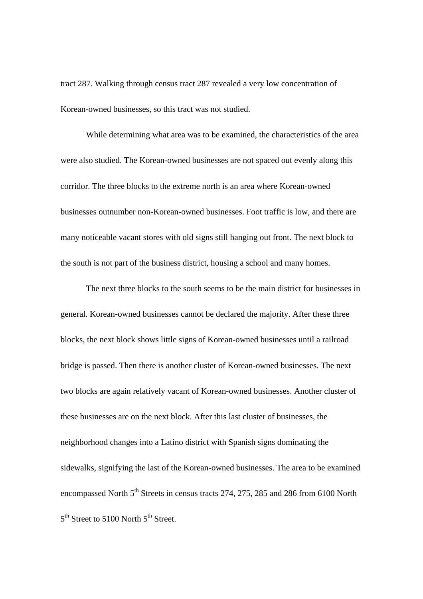tract 287. Walking through census tract 287 revealed a very low concentration of Korean-owned businesses, so this tract was not studied.

While determining what area was to be examined, the characteristics of the area were also studied. The Korean-owned businesses are not spaced out evenly along this corridor. The three blocks to the extreme north is an area where Korean-owned businesses outnumber non-Korean-owned businesses. Foot traffic is low, and there are many noticeable vacant stores with old signs still hanging out front. The next block to the south is not part of the business district, housing a school and many homes.

The next three blocks to the south seems to be the main district for businesses in general. Korean-owned businesses cannot be declared the majority. After these three blocks, the next block shows little signs of Korean-owned businesses until a railroad bridge is passed. Then there is another cluster of Korean-owned businesses. The next two blocks are again relatively vacant of Korean-owned businesses. Another cluster of these businesses are on the next block. After this last cluster of businesses, the neighborhood changes into a Latino district with Spanish signs dominating the sidewalks, signifying the last of the Korean-owned businesses. The area to be examined encompassed North 5<sup>th</sup> Streets in census tracts 274, 275, 285 and 286 from 6100 North 5<sup>th</sup> Street to 5100 North 5<sup>th</sup> Street.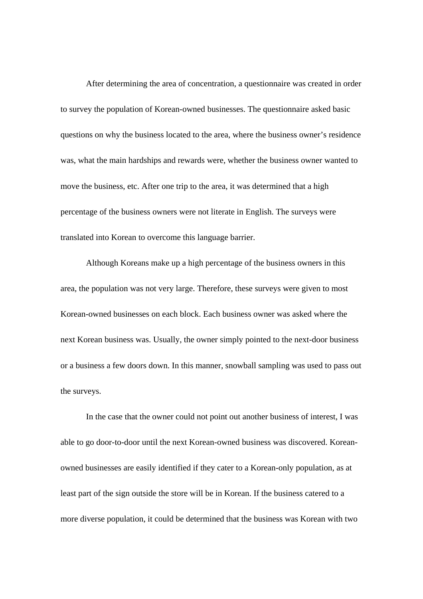After determining the area of concentration, a questionnaire was created in order to survey the population of Korean-owned businesses. The questionnaire asked basic questions on why the business located to the area, where the business owner's residence was, what the main hardships and rewards were, whether the business owner wanted to move the business, etc. After one trip to the area, it was determined that a high percentage of the business owners were not literate in English. The surveys were translated into Korean to overcome this language barrier.

Although Koreans make up a high percentage of the business owners in this area, the population was not very large. Therefore, these surveys were given to most Korean-owned businesses on each block. Each business owner was asked where the next Korean business was. Usually, the owner simply pointed to the next-door business or a business a few doors down. In this manner, snowball sampling was used to pass out the surveys.

In the case that the owner could not point out another business of interest, I was able to go door-to-door until the next Korean-owned business was discovered. Koreanowned businesses are easily identified if they cater to a Korean-only population, as at least part of the sign outside the store will be in Korean. If the business catered to a more diverse population, it could be determined that the business was Korean with two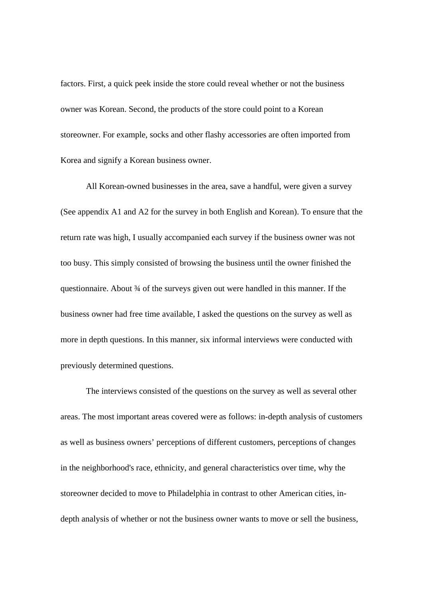factors. First, a quick peek inside the store could reveal whether or not the business owner was Korean. Second, the products of the store could point to a Korean storeowner. For example, socks and other flashy accessories are often imported from Korea and signify a Korean business owner.

All Korean-owned businesses in the area, save a handful, were given a survey (See appendix A1 and A2 for the survey in both English and Korean). To ensure that the return rate was high, I usually accompanied each survey if the business owner was not too busy. This simply consisted of browsing the business until the owner finished the questionnaire. About ¾ of the surveys given out were handled in this manner. If the business owner had free time available, I asked the questions on the survey as well as more in depth questions. In this manner, six informal interviews were conducted with previously determined questions.

The interviews consisted of the questions on the survey as well as several other areas. The most important areas covered were as follows: in-depth analysis of customers as well as business owners' perceptions of different customers, perceptions of changes in the neighborhood's race, ethnicity, and general characteristics over time, why the storeowner decided to move to Philadelphia in contrast to other American cities, indepth analysis of whether or not the business owner wants to move or sell the business,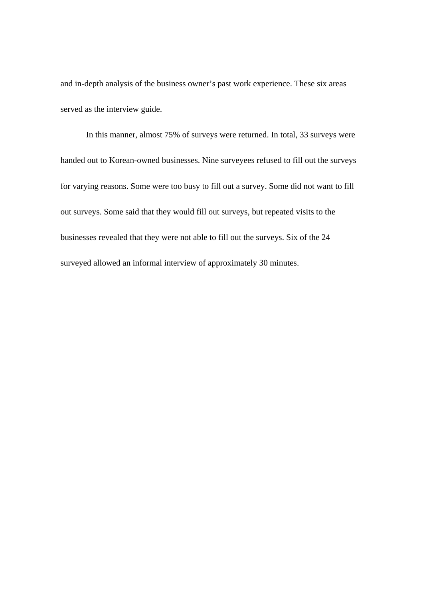and in-depth analysis of the business owner's past work experience. These six areas served as the interview guide.

In this manner, almost 75% of surveys were returned. In total, 33 surveys were handed out to Korean-owned businesses. Nine surveyees refused to fill out the surveys for varying reasons. Some were too busy to fill out a survey. Some did not want to fill out surveys. Some said that they would fill out surveys, but repeated visits to the businesses revealed that they were not able to fill out the surveys. Six of the 24 surveyed allowed an informal interview of approximately 30 minutes.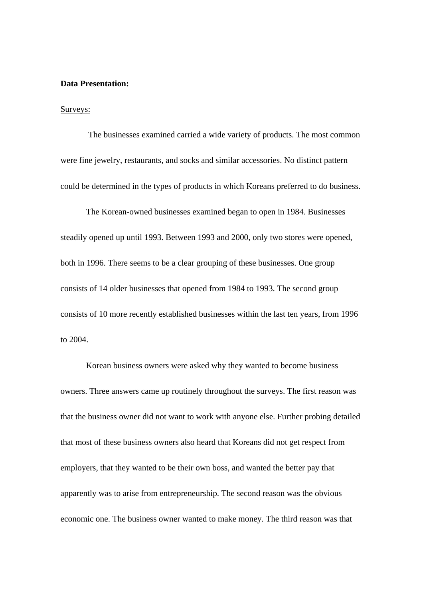#### **Data Presentation:**

#### Surveys:

 The businesses examined carried a wide variety of products. The most common were fine jewelry, restaurants, and socks and similar accessories. No distinct pattern could be determined in the types of products in which Koreans preferred to do business.

 The Korean-owned businesses examined began to open in 1984. Businesses steadily opened up until 1993. Between 1993 and 2000, only two stores were opened, both in 1996. There seems to be a clear grouping of these businesses. One group consists of 14 older businesses that opened from 1984 to 1993. The second group consists of 10 more recently established businesses within the last ten years, from 1996 to 2004.

 Korean business owners were asked why they wanted to become business owners. Three answers came up routinely throughout the surveys. The first reason was that the business owner did not want to work with anyone else. Further probing detailed that most of these business owners also heard that Koreans did not get respect from employers, that they wanted to be their own boss, and wanted the better pay that apparently was to arise from entrepreneurship. The second reason was the obvious economic one. The business owner wanted to make money. The third reason was that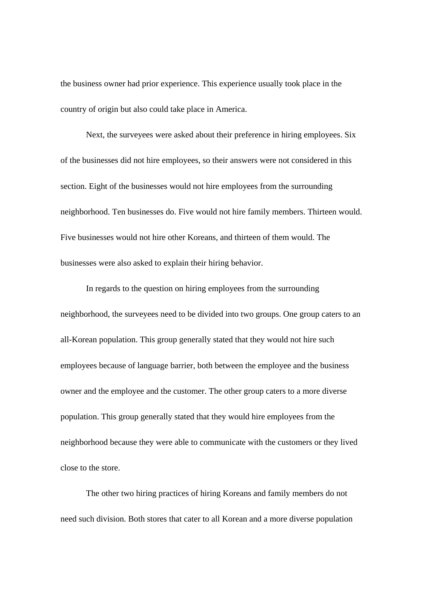the business owner had prior experience. This experience usually took place in the country of origin but also could take place in America.

 Next, the surveyees were asked about their preference in hiring employees. Six of the businesses did not hire employees, so their answers were not considered in this section. Eight of the businesses would not hire employees from the surrounding neighborhood. Ten businesses do. Five would not hire family members. Thirteen would. Five businesses would not hire other Koreans, and thirteen of them would. The businesses were also asked to explain their hiring behavior.

 In regards to the question on hiring employees from the surrounding neighborhood, the surveyees need to be divided into two groups. One group caters to an all-Korean population. This group generally stated that they would not hire such employees because of language barrier, both between the employee and the business owner and the employee and the customer. The other group caters to a more diverse population. This group generally stated that they would hire employees from the neighborhood because they were able to communicate with the customers or they lived close to the store.

 The other two hiring practices of hiring Koreans and family members do not need such division. Both stores that cater to all Korean and a more diverse population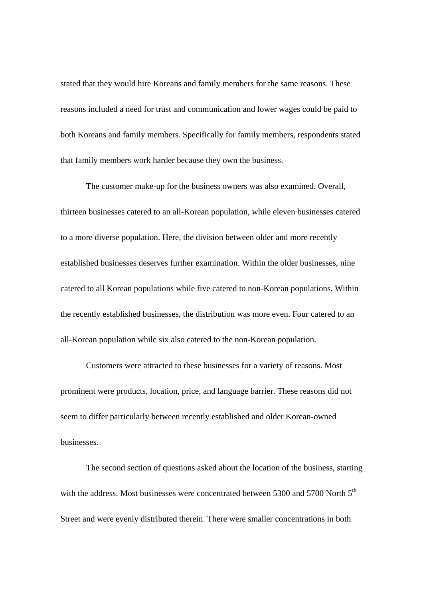stated that they would hire Koreans and family members for the same reasons. These reasons included a need for trust and communication and lower wages could be paid to both Koreans and family members. Specifically for family members, respondents stated that family members work harder because they own the business.

 The customer make-up for the business owners was also examined. Overall, thirteen businesses catered to an all-Korean population, while eleven businesses catered to a more diverse population. Here, the division between older and more recently established businesses deserves further examination. Within the older businesses, nine catered to all Korean populations while five catered to non-Korean populations. Within the recently established businesses, the distribution was more even. Four catered to an all-Korean population while six also catered to the non-Korean population.

 Customers were attracted to these businesses for a variety of reasons. Most prominent were products, location, price, and language barrier. These reasons did not seem to differ particularly between recently established and older Korean-owned businesses.

 The second section of questions asked about the location of the business, starting with the address. Most businesses were concentrated between 5300 and 5700 North  $5<sup>th</sup>$ Street and were evenly distributed therein. There were smaller concentrations in both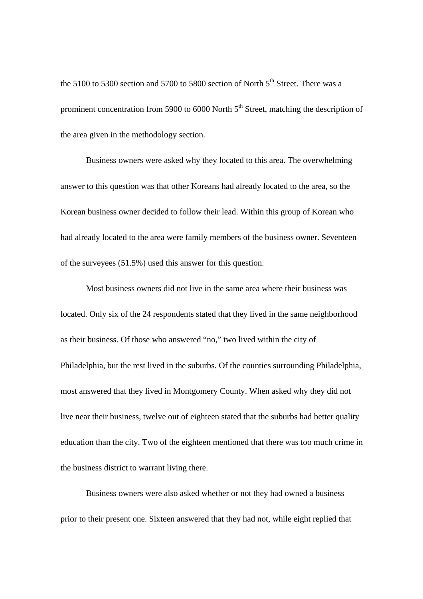the 5100 to 5300 section and 5700 to 5800 section of North  $5<sup>th</sup>$  Street. There was a prominent concentration from 5900 to 6000 North 5<sup>th</sup> Street, matching the description of the area given in the methodology section.

 Business owners were asked why they located to this area. The overwhelming answer to this question was that other Koreans had already located to the area, so the Korean business owner decided to follow their lead. Within this group of Korean who had already located to the area were family members of the business owner. Seventeen of the surveyees (51.5%) used this answer for this question.

 Most business owners did not live in the same area where their business was located. Only six of the 24 respondents stated that they lived in the same neighborhood as their business. Of those who answered "no," two lived within the city of Philadelphia, but the rest lived in the suburbs. Of the counties surrounding Philadelphia, most answered that they lived in Montgomery County. When asked why they did not live near their business, twelve out of eighteen stated that the suburbs had better quality education than the city. Two of the eighteen mentioned that there was too much crime in the business district to warrant living there.

 Business owners were also asked whether or not they had owned a business prior to their present one. Sixteen answered that they had not, while eight replied that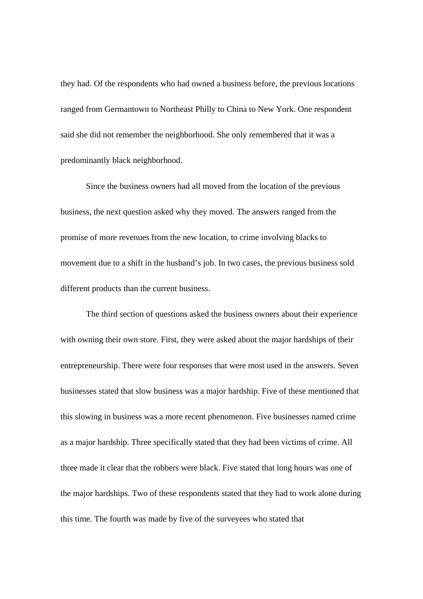they had. Of the respondents who had owned a business before, the previous locations ranged from Germantown to Northeast Philly to China to New York. One respondent said she did not remember the neighborhood. She only remembered that it was a predominantly black neighborhood.

 Since the business owners had all moved from the location of the previous business, the next question asked why they moved. The answers ranged from the promise of more revenues from the new location, to crime involving blacks to movement due to a shift in the husband's job. In two cases, the previous business sold different products than the current business.

 The third section of questions asked the business owners about their experience with owning their own store. First, they were asked about the major hardships of their entrepreneurship. There were four responses that were most used in the answers. Seven businesses stated that slow business was a major hardship. Five of these mentioned that this slowing in business was a more recent phenomenon. Five businesses named crime as a major hardship. Three specifically stated that they had been victims of crime. All three made it clear that the robbers were black. Five stated that long hours was one of the major hardships. Two of these respondents stated that they had to work alone during this time. The fourth was made by five of the surveyees who stated that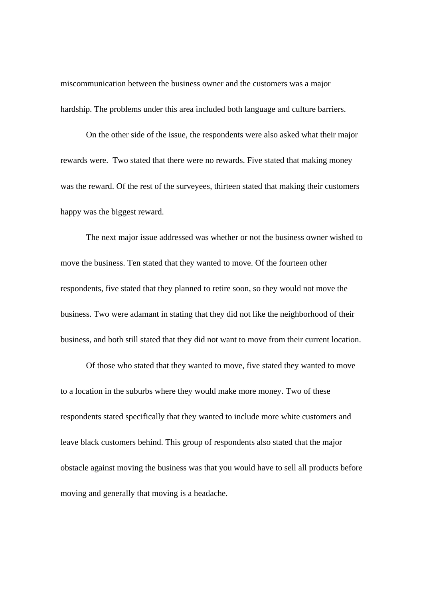miscommunication between the business owner and the customers was a major hardship. The problems under this area included both language and culture barriers.

 On the other side of the issue, the respondents were also asked what their major rewards were. Two stated that there were no rewards. Five stated that making money was the reward. Of the rest of the surveyees, thirteen stated that making their customers happy was the biggest reward.

 The next major issue addressed was whether or not the business owner wished to move the business. Ten stated that they wanted to move. Of the fourteen other respondents, five stated that they planned to retire soon, so they would not move the business. Two were adamant in stating that they did not like the neighborhood of their business, and both still stated that they did not want to move from their current location.

 Of those who stated that they wanted to move, five stated they wanted to move to a location in the suburbs where they would make more money. Two of these respondents stated specifically that they wanted to include more white customers and leave black customers behind. This group of respondents also stated that the major obstacle against moving the business was that you would have to sell all products before moving and generally that moving is a headache.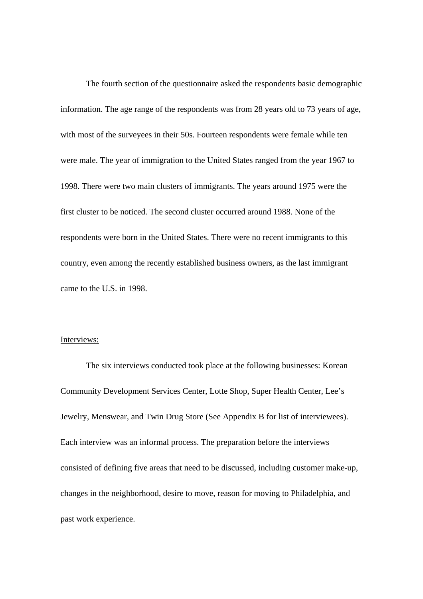The fourth section of the questionnaire asked the respondents basic demographic information. The age range of the respondents was from 28 years old to 73 years of age, with most of the surveyees in their 50s. Fourteen respondents were female while ten were male. The year of immigration to the United States ranged from the year 1967 to 1998. There were two main clusters of immigrants. The years around 1975 were the first cluster to be noticed. The second cluster occurred around 1988. None of the respondents were born in the United States. There were no recent immigrants to this country, even among the recently established business owners, as the last immigrant came to the U.S. in 1998.

#### Interviews:

 The six interviews conducted took place at the following businesses: Korean Community Development Services Center, Lotte Shop, Super Health Center, Lee's Jewelry, Menswear, and Twin Drug Store (See Appendix B for list of interviewees). Each interview was an informal process. The preparation before the interviews consisted of defining five areas that need to be discussed, including customer make-up, changes in the neighborhood, desire to move, reason for moving to Philadelphia, and past work experience.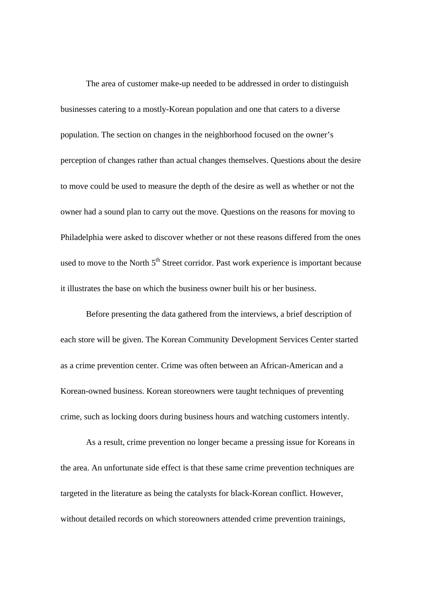The area of customer make-up needed to be addressed in order to distinguish businesses catering to a mostly-Korean population and one that caters to a diverse population. The section on changes in the neighborhood focused on the owner's perception of changes rather than actual changes themselves. Questions about the desire to move could be used to measure the depth of the desire as well as whether or not the owner had a sound plan to carry out the move. Questions on the reasons for moving to Philadelphia were asked to discover whether or not these reasons differed from the ones used to move to the North 5<sup>th</sup> Street corridor. Past work experience is important because it illustrates the base on which the business owner built his or her business.

 Before presenting the data gathered from the interviews, a brief description of each store will be given. The Korean Community Development Services Center started as a crime prevention center. Crime was often between an African-American and a Korean-owned business. Korean storeowners were taught techniques of preventing crime, such as locking doors during business hours and watching customers intently.

As a result, crime prevention no longer became a pressing issue for Koreans in the area. An unfortunate side effect is that these same crime prevention techniques are targeted in the literature as being the catalysts for black-Korean conflict. However, without detailed records on which storeowners attended crime prevention trainings,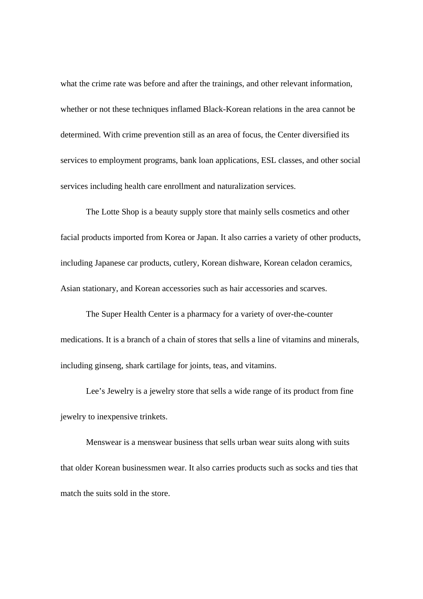what the crime rate was before and after the trainings, and other relevant information, whether or not these techniques inflamed Black-Korean relations in the area cannot be determined. With crime prevention still as an area of focus, the Center diversified its services to employment programs, bank loan applications, ESL classes, and other social services including health care enrollment and naturalization services.

The Lotte Shop is a beauty supply store that mainly sells cosmetics and other facial products imported from Korea or Japan. It also carries a variety of other products, including Japanese car products, cutlery, Korean dishware, Korean celadon ceramics, Asian stationary, and Korean accessories such as hair accessories and scarves.

The Super Health Center is a pharmacy for a variety of over-the-counter medications. It is a branch of a chain of stores that sells a line of vitamins and minerals, including ginseng, shark cartilage for joints, teas, and vitamins.

Lee's Jewelry is a jewelry store that sells a wide range of its product from fine jewelry to inexpensive trinkets.

Menswear is a menswear business that sells urban wear suits along with suits that older Korean businessmen wear. It also carries products such as socks and ties that match the suits sold in the store.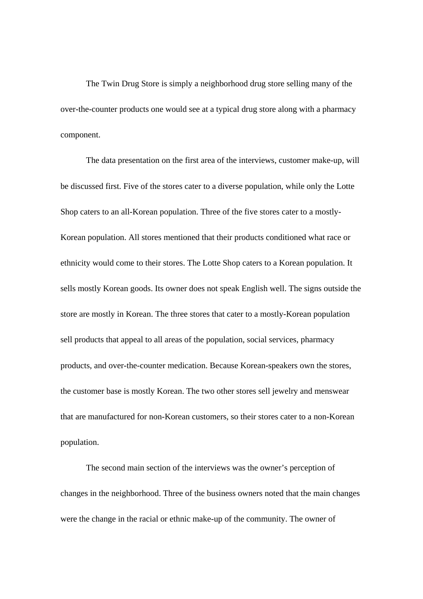The Twin Drug Store is simply a neighborhood drug store selling many of the over-the-counter products one would see at a typical drug store along with a pharmacy component.

 The data presentation on the first area of the interviews, customer make-up, will be discussed first. Five of the stores cater to a diverse population, while only the Lotte Shop caters to an all-Korean population. Three of the five stores cater to a mostly-Korean population. All stores mentioned that their products conditioned what race or ethnicity would come to their stores. The Lotte Shop caters to a Korean population. It sells mostly Korean goods. Its owner does not speak English well. The signs outside the store are mostly in Korean. The three stores that cater to a mostly-Korean population sell products that appeal to all areas of the population, social services, pharmacy products, and over-the-counter medication. Because Korean-speakers own the stores, the customer base is mostly Korean. The two other stores sell jewelry and menswear that are manufactured for non-Korean customers, so their stores cater to a non-Korean population.

 The second main section of the interviews was the owner's perception of changes in the neighborhood. Three of the business owners noted that the main changes were the change in the racial or ethnic make-up of the community. The owner of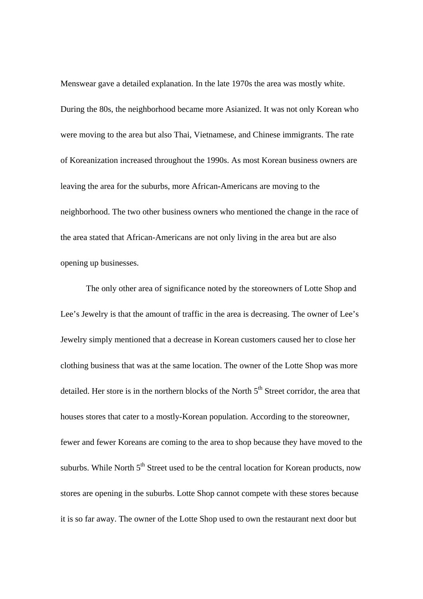Menswear gave a detailed explanation. In the late 1970s the area was mostly white. During the 80s, the neighborhood became more Asianized. It was not only Korean who were moving to the area but also Thai, Vietnamese, and Chinese immigrants. The rate of Koreanization increased throughout the 1990s. As most Korean business owners are leaving the area for the suburbs, more African-Americans are moving to the neighborhood. The two other business owners who mentioned the change in the race of the area stated that African-Americans are not only living in the area but are also opening up businesses.

The only other area of significance noted by the storeowners of Lotte Shop and Lee's Jewelry is that the amount of traffic in the area is decreasing. The owner of Lee's Jewelry simply mentioned that a decrease in Korean customers caused her to close her clothing business that was at the same location. The owner of the Lotte Shop was more detailed. Her store is in the northern blocks of the North  $5<sup>th</sup>$  Street corridor, the area that houses stores that cater to a mostly-Korean population. According to the storeowner, fewer and fewer Koreans are coming to the area to shop because they have moved to the suburbs. While North 5<sup>th</sup> Street used to be the central location for Korean products, now stores are opening in the suburbs. Lotte Shop cannot compete with these stores because it is so far away. The owner of the Lotte Shop used to own the restaurant next door but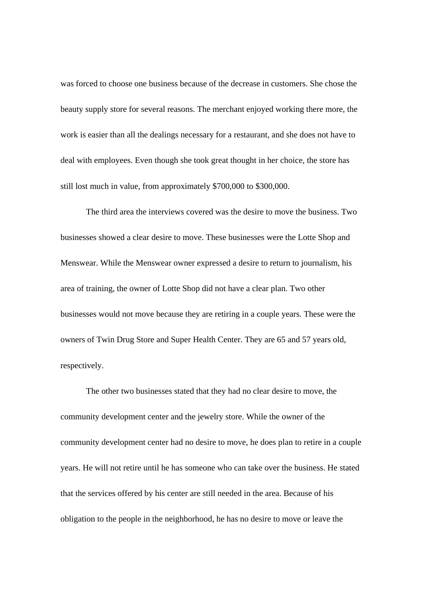was forced to choose one business because of the decrease in customers. She chose the beauty supply store for several reasons. The merchant enjoyed working there more, the work is easier than all the dealings necessary for a restaurant, and she does not have to deal with employees. Even though she took great thought in her choice, the store has still lost much in value, from approximately \$700,000 to \$300,000.

The third area the interviews covered was the desire to move the business. Two businesses showed a clear desire to move. These businesses were the Lotte Shop and Menswear. While the Menswear owner expressed a desire to return to journalism, his area of training, the owner of Lotte Shop did not have a clear plan. Two other businesses would not move because they are retiring in a couple years. These were the owners of Twin Drug Store and Super Health Center. They are 65 and 57 years old, respectively.

The other two businesses stated that they had no clear desire to move, the community development center and the jewelry store. While the owner of the community development center had no desire to move, he does plan to retire in a couple years. He will not retire until he has someone who can take over the business. He stated that the services offered by his center are still needed in the area. Because of his obligation to the people in the neighborhood, he has no desire to move or leave the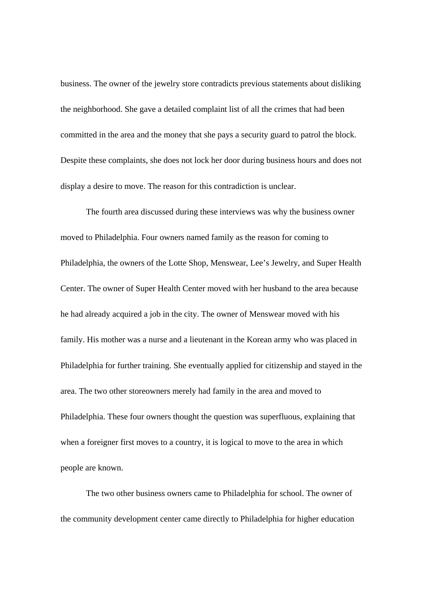business. The owner of the jewelry store contradicts previous statements about disliking the neighborhood. She gave a detailed complaint list of all the crimes that had been committed in the area and the money that she pays a security guard to patrol the block. Despite these complaints, she does not lock her door during business hours and does not display a desire to move. The reason for this contradiction is unclear.

The fourth area discussed during these interviews was why the business owner moved to Philadelphia. Four owners named family as the reason for coming to Philadelphia, the owners of the Lotte Shop, Menswear, Lee's Jewelry, and Super Health Center. The owner of Super Health Center moved with her husband to the area because he had already acquired a job in the city. The owner of Menswear moved with his family. His mother was a nurse and a lieutenant in the Korean army who was placed in Philadelphia for further training. She eventually applied for citizenship and stayed in the area. The two other storeowners merely had family in the area and moved to Philadelphia. These four owners thought the question was superfluous, explaining that when a foreigner first moves to a country, it is logical to move to the area in which people are known.

The two other business owners came to Philadelphia for school. The owner of the community development center came directly to Philadelphia for higher education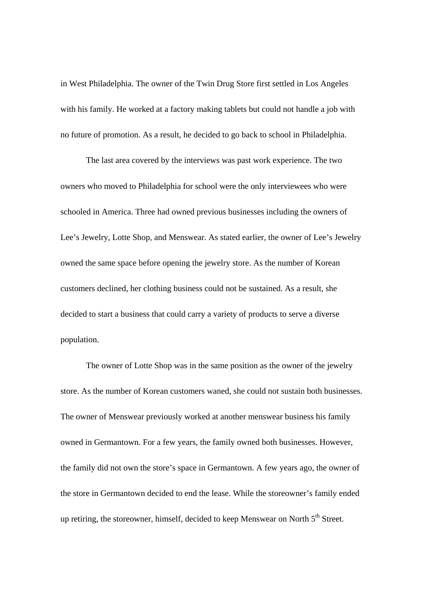in West Philadelphia. The owner of the Twin Drug Store first settled in Los Angeles with his family. He worked at a factory making tablets but could not handle a job with no future of promotion. As a result, he decided to go back to school in Philadelphia.

The last area covered by the interviews was past work experience. The two owners who moved to Philadelphia for school were the only interviewees who were schooled in America. Three had owned previous businesses including the owners of Lee's Jewelry, Lotte Shop, and Menswear. As stated earlier, the owner of Lee's Jewelry owned the same space before opening the jewelry store. As the number of Korean customers declined, her clothing business could not be sustained. As a result, she decided to start a business that could carry a variety of products to serve a diverse population.

The owner of Lotte Shop was in the same position as the owner of the jewelry store. As the number of Korean customers waned, she could not sustain both businesses. The owner of Menswear previously worked at another menswear business his family owned in Germantown. For a few years, the family owned both businesses. However, the family did not own the store's space in Germantown. A few years ago, the owner of the store in Germantown decided to end the lease. While the storeowner's family ended up retiring, the storeowner, himself, decided to keep Menswear on North  $5<sup>th</sup>$  Street.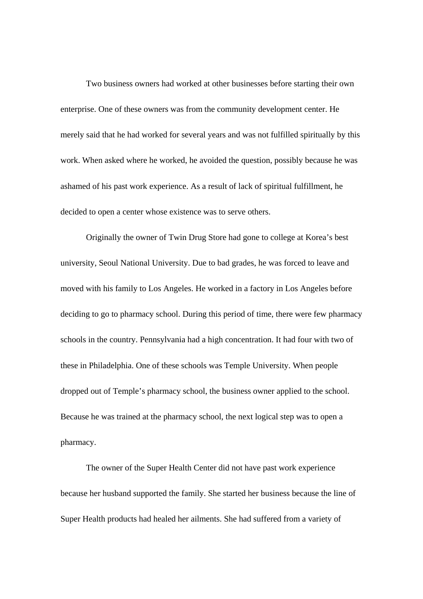Two business owners had worked at other businesses before starting their own enterprise. One of these owners was from the community development center. He merely said that he had worked for several years and was not fulfilled spiritually by this work. When asked where he worked, he avoided the question, possibly because he was ashamed of his past work experience. As a result of lack of spiritual fulfillment, he decided to open a center whose existence was to serve others.

Originally the owner of Twin Drug Store had gone to college at Korea's best university, Seoul National University. Due to bad grades, he was forced to leave and moved with his family to Los Angeles. He worked in a factory in Los Angeles before deciding to go to pharmacy school. During this period of time, there were few pharmacy schools in the country. Pennsylvania had a high concentration. It had four with two of these in Philadelphia. One of these schools was Temple University. When people dropped out of Temple's pharmacy school, the business owner applied to the school. Because he was trained at the pharmacy school, the next logical step was to open a pharmacy.

The owner of the Super Health Center did not have past work experience because her husband supported the family. She started her business because the line of Super Health products had healed her ailments. She had suffered from a variety of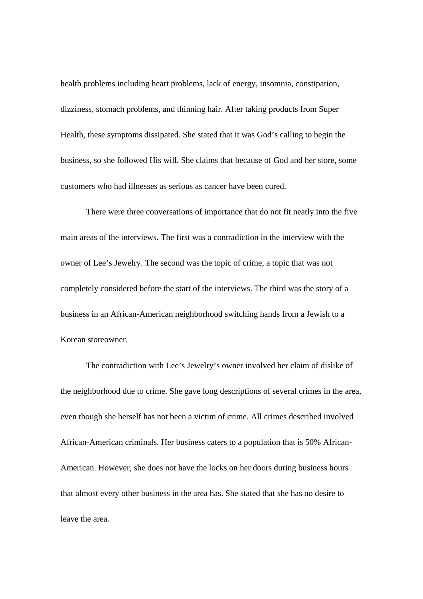health problems including heart problems, lack of energy, insomnia, constipation, dizziness, stomach problems, and thinning hair. After taking products from Super Health, these symptoms dissipated. She stated that it was God's calling to begin the business, so she followed His will. She claims that because of God and her store, some customers who had illnesses as serious as cancer have been cured.

There were three conversations of importance that do not fit neatly into the five main areas of the interviews. The first was a contradiction in the interview with the owner of Lee's Jewelry. The second was the topic of crime, a topic that was not completely considered before the start of the interviews. The third was the story of a business in an African-American neighborhood switching hands from a Jewish to a Korean storeowner.

The contradiction with Lee's Jewelry's owner involved her claim of dislike of the neighborhood due to crime. She gave long descriptions of several crimes in the area, even though she herself has not been a victim of crime. All crimes described involved African-American criminals. Her business caters to a population that is 50% African-American. However, she does not have the locks on her doors during business hours that almost every other business in the area has. She stated that she has no desire to leave the area.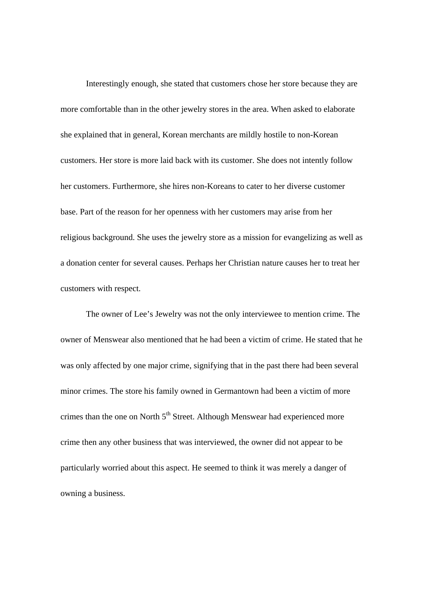Interestingly enough, she stated that customers chose her store because they are more comfortable than in the other jewelry stores in the area. When asked to elaborate she explained that in general, Korean merchants are mildly hostile to non-Korean customers. Her store is more laid back with its customer. She does not intently follow her customers. Furthermore, she hires non-Koreans to cater to her diverse customer base. Part of the reason for her openness with her customers may arise from her religious background. She uses the jewelry store as a mission for evangelizing as well as a donation center for several causes. Perhaps her Christian nature causes her to treat her customers with respect.

The owner of Lee's Jewelry was not the only interviewee to mention crime. The owner of Menswear also mentioned that he had been a victim of crime. He stated that he was only affected by one major crime, signifying that in the past there had been several minor crimes. The store his family owned in Germantown had been a victim of more crimes than the one on North 5<sup>th</sup> Street. Although Menswear had experienced more crime then any other business that was interviewed, the owner did not appear to be particularly worried about this aspect. He seemed to think it was merely a danger of owning a business.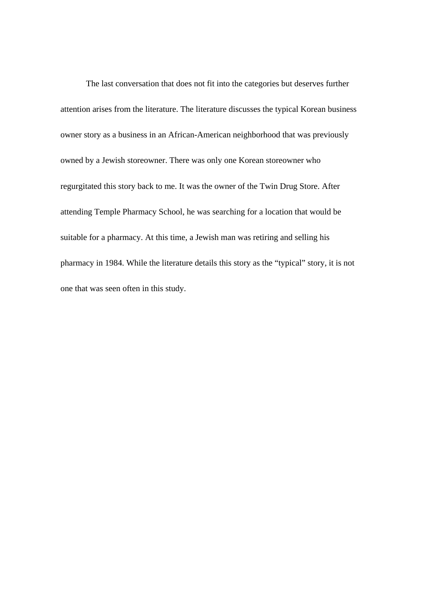The last conversation that does not fit into the categories but deserves further attention arises from the literature. The literature discusses the typical Korean business owner story as a business in an African-American neighborhood that was previously owned by a Jewish storeowner. There was only one Korean storeowner who regurgitated this story back to me. It was the owner of the Twin Drug Store. After attending Temple Pharmacy School, he was searching for a location that would be suitable for a pharmacy. At this time, a Jewish man was retiring and selling his pharmacy in 1984. While the literature details this story as the "typical" story, it is not one that was seen often in this study.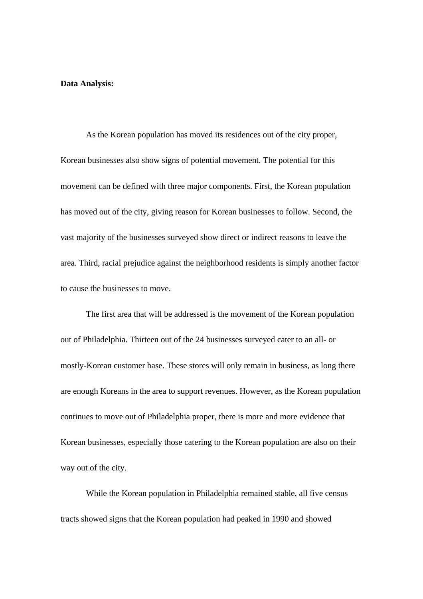#### **Data Analysis:**

As the Korean population has moved its residences out of the city proper, Korean businesses also show signs of potential movement. The potential for this movement can be defined with three major components. First, the Korean population has moved out of the city, giving reason for Korean businesses to follow. Second, the vast majority of the businesses surveyed show direct or indirect reasons to leave the area. Third, racial prejudice against the neighborhood residents is simply another factor to cause the businesses to move.

 The first area that will be addressed is the movement of the Korean population out of Philadelphia. Thirteen out of the 24 businesses surveyed cater to an all- or mostly-Korean customer base. These stores will only remain in business, as long there are enough Koreans in the area to support revenues. However, as the Korean population continues to move out of Philadelphia proper, there is more and more evidence that Korean businesses, especially those catering to the Korean population are also on their way out of the city.

 While the Korean population in Philadelphia remained stable, all five census tracts showed signs that the Korean population had peaked in 1990 and showed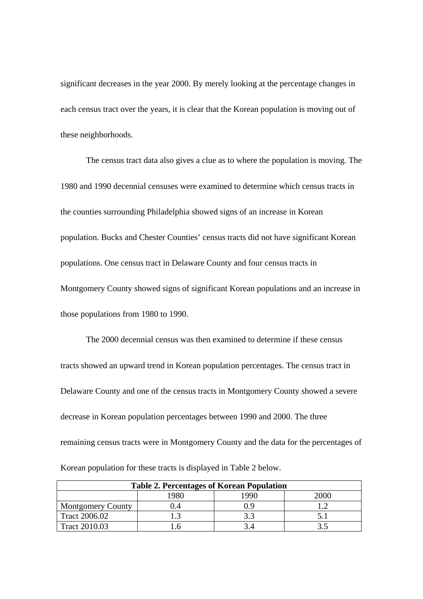significant decreases in the year 2000. By merely looking at the percentage changes in each census tract over the years, it is clear that the Korean population is moving out of these neighborhoods.

The census tract data also gives a clue as to where the population is moving. The 1980 and 1990 decennial censuses were examined to determine which census tracts in the counties surrounding Philadelphia showed signs of an increase in Korean population. Bucks and Chester Counties' census tracts did not have significant Korean populations. One census tract in Delaware County and four census tracts in Montgomery County showed signs of significant Korean populations and an increase in those populations from 1980 to 1990.

 The 2000 decennial census was then examined to determine if these census tracts showed an upward trend in Korean population percentages. The census tract in Delaware County and one of the census tracts in Montgomery County showed a severe decrease in Korean population percentages between 1990 and 2000. The three remaining census tracts were in Montgomery County and the data for the percentages of

| <b>Table 2. Percentages of Korean Population</b> |      |     |      |  |
|--------------------------------------------------|------|-----|------|--|
|                                                  | 1980 | QQf | 2000 |  |
| <b>Montgomery County</b>                         | .).4 |     |      |  |
| Tract 2006.02                                    |      |     |      |  |
| <b>Tract 2010.03</b>                             |      |     |      |  |

Korean population for these tracts is displayed in Table 2 below.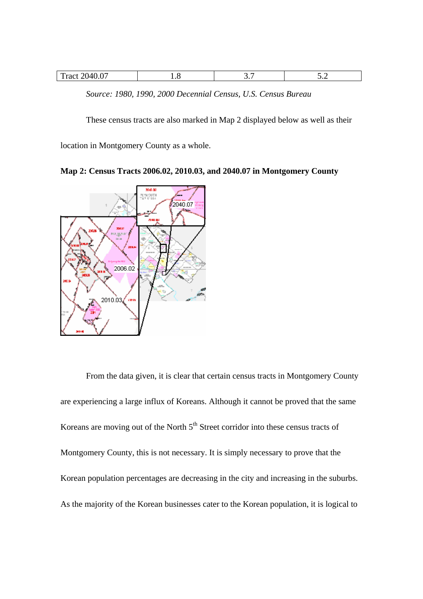| $\sim$<br>$T_{\text{root}}$<br>$\lambda$<br>$\pm$ Tact $\angle U^{\mu\nu}$<br>70.V<br>◡. |  |  |
|------------------------------------------------------------------------------------------|--|--|
|                                                                                          |  |  |

*Source: 1980, 1990, 2000 Decennial Census, U.S. Census Bureau* 

These census tracts are also marked in Map 2 displayed below as well as their

location in Montgomery County as a whole.

**Map 2: Census Tracts 2006.02, 2010.03, and 2040.07 in Montgomery County** 



From the data given, it is clear that certain census tracts in Montgomery County are experiencing a large influx of Koreans. Although it cannot be proved that the same Koreans are moving out of the North 5<sup>th</sup> Street corridor into these census tracts of Montgomery County, this is not necessary. It is simply necessary to prove that the Korean population percentages are decreasing in the city and increasing in the suburbs. As the majority of the Korean businesses cater to the Korean population, it is logical to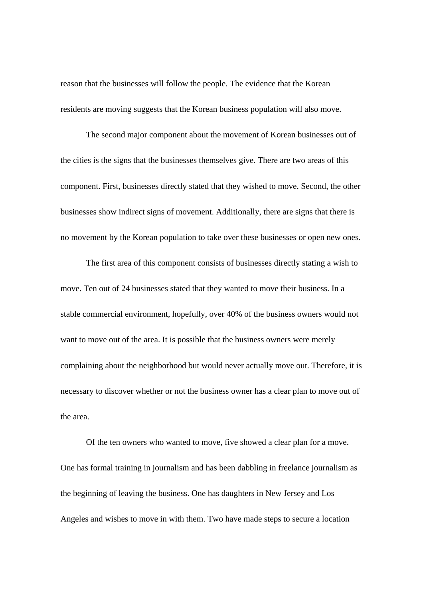reason that the businesses will follow the people. The evidence that the Korean residents are moving suggests that the Korean business population will also move.

 The second major component about the movement of Korean businesses out of the cities is the signs that the businesses themselves give. There are two areas of this component. First, businesses directly stated that they wished to move. Second, the other businesses show indirect signs of movement. Additionally, there are signs that there is no movement by the Korean population to take over these businesses or open new ones.

 The first area of this component consists of businesses directly stating a wish to move. Ten out of 24 businesses stated that they wanted to move their business. In a stable commercial environment, hopefully, over 40% of the business owners would not want to move out of the area. It is possible that the business owners were merely complaining about the neighborhood but would never actually move out. Therefore, it is necessary to discover whether or not the business owner has a clear plan to move out of the area.

Of the ten owners who wanted to move, five showed a clear plan for a move. One has formal training in journalism and has been dabbling in freelance journalism as the beginning of leaving the business. One has daughters in New Jersey and Los Angeles and wishes to move in with them. Two have made steps to secure a location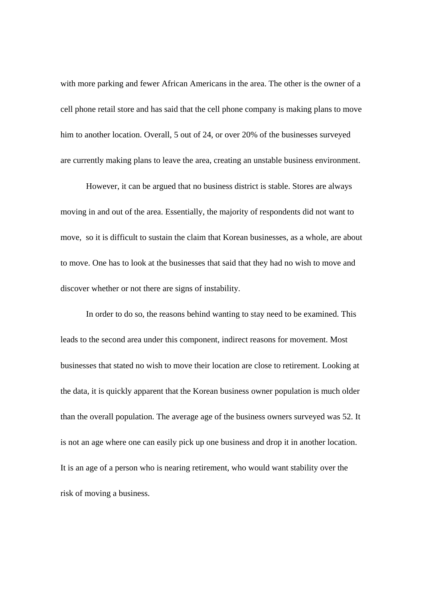with more parking and fewer African Americans in the area. The other is the owner of a cell phone retail store and has said that the cell phone company is making plans to move him to another location. Overall, 5 out of 24, or over 20% of the businesses surveyed are currently making plans to leave the area, creating an unstable business environment.

However, it can be argued that no business district is stable. Stores are always moving in and out of the area. Essentially, the majority of respondents did not want to move, so it is difficult to sustain the claim that Korean businesses, as a whole, are about to move. One has to look at the businesses that said that they had no wish to move and discover whether or not there are signs of instability.

 In order to do so, the reasons behind wanting to stay need to be examined. This leads to the second area under this component, indirect reasons for movement. Most businesses that stated no wish to move their location are close to retirement. Looking at the data, it is quickly apparent that the Korean business owner population is much older than the overall population. The average age of the business owners surveyed was 52. It is not an age where one can easily pick up one business and drop it in another location. It is an age of a person who is nearing retirement, who would want stability over the risk of moving a business.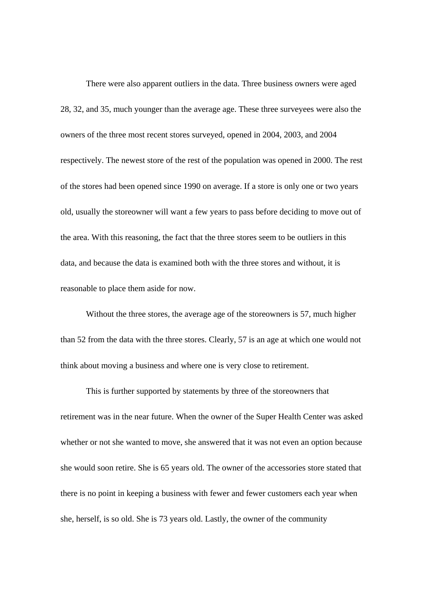There were also apparent outliers in the data. Three business owners were aged 28, 32, and 35, much younger than the average age. These three surveyees were also the owners of the three most recent stores surveyed, opened in 2004, 2003, and 2004 respectively. The newest store of the rest of the population was opened in 2000. The rest of the stores had been opened since 1990 on average. If a store is only one or two years old, usually the storeowner will want a few years to pass before deciding to move out of the area. With this reasoning, the fact that the three stores seem to be outliers in this data, and because the data is examined both with the three stores and without, it is reasonable to place them aside for now.

 Without the three stores, the average age of the storeowners is 57, much higher than 52 from the data with the three stores. Clearly, 57 is an age at which one would not think about moving a business and where one is very close to retirement.

 This is further supported by statements by three of the storeowners that retirement was in the near future. When the owner of the Super Health Center was asked whether or not she wanted to move, she answered that it was not even an option because she would soon retire. She is 65 years old. The owner of the accessories store stated that there is no point in keeping a business with fewer and fewer customers each year when she, herself, is so old. She is 73 years old. Lastly, the owner of the community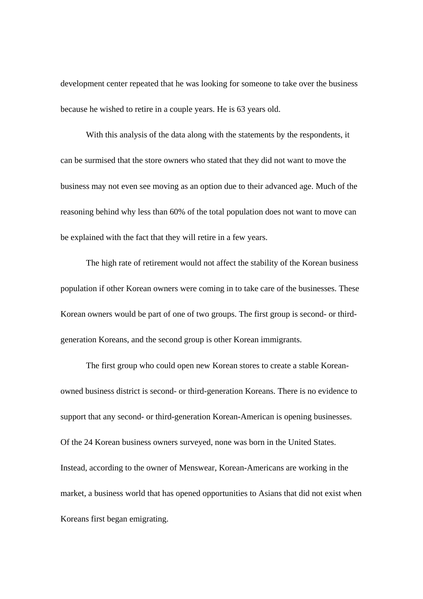development center repeated that he was looking for someone to take over the business because he wished to retire in a couple years. He is 63 years old.

With this analysis of the data along with the statements by the respondents, it can be surmised that the store owners who stated that they did not want to move the business may not even see moving as an option due to their advanced age. Much of the reasoning behind why less than 60% of the total population does not want to move can be explained with the fact that they will retire in a few years.

The high rate of retirement would not affect the stability of the Korean business population if other Korean owners were coming in to take care of the businesses. These Korean owners would be part of one of two groups. The first group is second- or thirdgeneration Koreans, and the second group is other Korean immigrants.

The first group who could open new Korean stores to create a stable Koreanowned business district is second- or third-generation Koreans. There is no evidence to support that any second- or third-generation Korean-American is opening businesses. Of the 24 Korean business owners surveyed, none was born in the United States. Instead, according to the owner of Menswear, Korean-Americans are working in the market, a business world that has opened opportunities to Asians that did not exist when Koreans first began emigrating.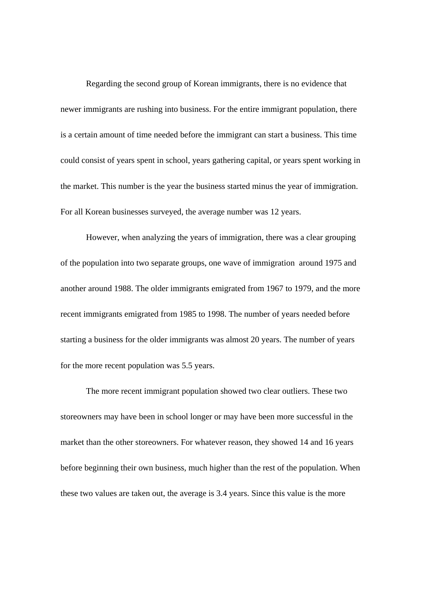Regarding the second group of Korean immigrants, there is no evidence that newer immigrants are rushing into business. For the entire immigrant population, there is a certain amount of time needed before the immigrant can start a business. This time could consist of years spent in school, years gathering capital, or years spent working in the market. This number is the year the business started minus the year of immigration. For all Korean businesses surveyed, the average number was 12 years.

However, when analyzing the years of immigration, there was a clear grouping of the population into two separate groups, one wave of immigration around 1975 and another around 1988. The older immigrants emigrated from 1967 to 1979, and the more recent immigrants emigrated from 1985 to 1998. The number of years needed before starting a business for the older immigrants was almost 20 years. The number of years for the more recent population was 5.5 years.

The more recent immigrant population showed two clear outliers. These two storeowners may have been in school longer or may have been more successful in the market than the other storeowners. For whatever reason, they showed 14 and 16 years before beginning their own business, much higher than the rest of the population. When these two values are taken out, the average is 3.4 years. Since this value is the more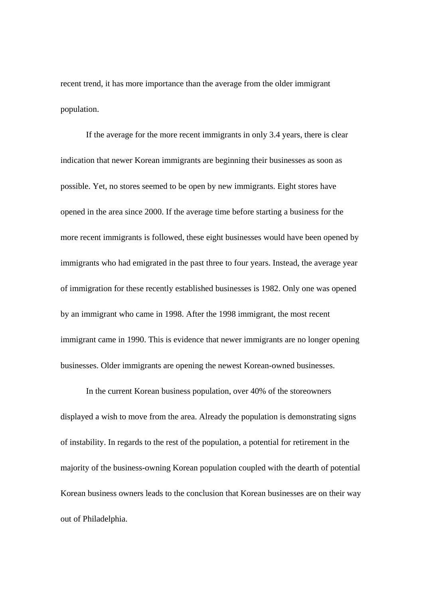recent trend, it has more importance than the average from the older immigrant population.

If the average for the more recent immigrants in only 3.4 years, there is clear indication that newer Korean immigrants are beginning their businesses as soon as possible. Yet, no stores seemed to be open by new immigrants. Eight stores have opened in the area since 2000. If the average time before starting a business for the more recent immigrants is followed, these eight businesses would have been opened by immigrants who had emigrated in the past three to four years. Instead, the average year of immigration for these recently established businesses is 1982. Only one was opened by an immigrant who came in 1998. After the 1998 immigrant, the most recent immigrant came in 1990. This is evidence that newer immigrants are no longer opening businesses. Older immigrants are opening the newest Korean-owned businesses.

In the current Korean business population, over 40% of the storeowners displayed a wish to move from the area. Already the population is demonstrating signs of instability. In regards to the rest of the population, a potential for retirement in the majority of the business-owning Korean population coupled with the dearth of potential Korean business owners leads to the conclusion that Korean businesses are on their way out of Philadelphia.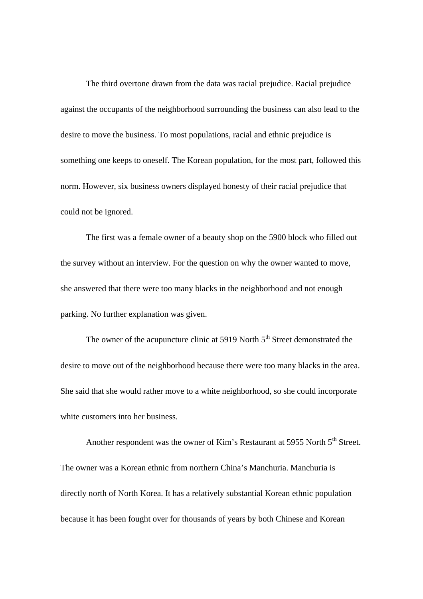The third overtone drawn from the data was racial prejudice. Racial prejudice against the occupants of the neighborhood surrounding the business can also lead to the desire to move the business. To most populations, racial and ethnic prejudice is something one keeps to oneself. The Korean population, for the most part, followed this norm. However, six business owners displayed honesty of their racial prejudice that could not be ignored.

The first was a female owner of a beauty shop on the 5900 block who filled out the survey without an interview. For the question on why the owner wanted to move, she answered that there were too many blacks in the neighborhood and not enough parking. No further explanation was given.

The owner of the acupuncture clinic at 5919 North  $5<sup>th</sup>$  Street demonstrated the desire to move out of the neighborhood because there were too many blacks in the area. She said that she would rather move to a white neighborhood, so she could incorporate white customers into her business.

Another respondent was the owner of Kim's Restaurant at 5955 North 5<sup>th</sup> Street. The owner was a Korean ethnic from northern China's Manchuria. Manchuria is directly north of North Korea. It has a relatively substantial Korean ethnic population because it has been fought over for thousands of years by both Chinese and Korean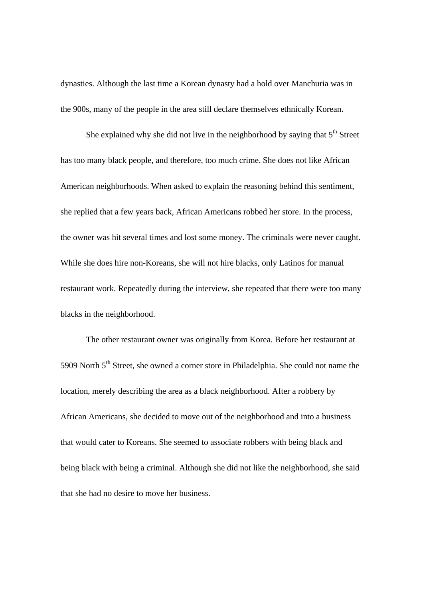dynasties. Although the last time a Korean dynasty had a hold over Manchuria was in the 900s, many of the people in the area still declare themselves ethnically Korean.

She explained why she did not live in the neighborhood by saying that  $5<sup>th</sup>$  Street has too many black people, and therefore, too much crime. She does not like African American neighborhoods. When asked to explain the reasoning behind this sentiment, she replied that a few years back, African Americans robbed her store. In the process, the owner was hit several times and lost some money. The criminals were never caught. While she does hire non-Koreans, she will not hire blacks, only Latinos for manual restaurant work. Repeatedly during the interview, she repeated that there were too many blacks in the neighborhood.

The other restaurant owner was originally from Korea. Before her restaurant at 5909 North 5<sup>th</sup> Street, she owned a corner store in Philadelphia. She could not name the location, merely describing the area as a black neighborhood. After a robbery by African Americans, she decided to move out of the neighborhood and into a business that would cater to Koreans. She seemed to associate robbers with being black and being black with being a criminal. Although she did not like the neighborhood, she said that she had no desire to move her business.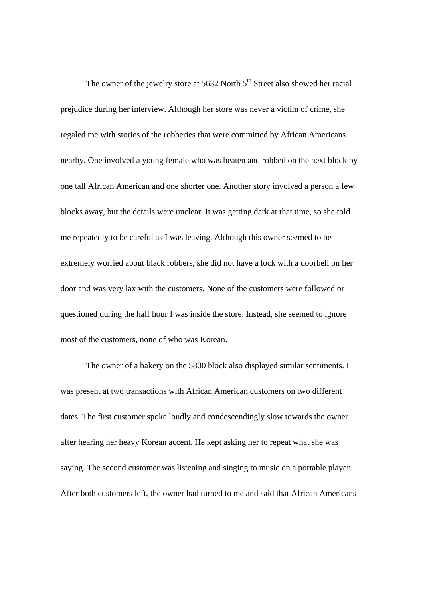The owner of the jewelry store at 5632 North  $5<sup>th</sup>$  Street also showed her racial prejudice during her interview. Although her store was never a victim of crime, she regaled me with stories of the robberies that were committed by African Americans nearby. One involved a young female who was beaten and robbed on the next block by one tall African American and one shorter one. Another story involved a person a few blocks away, but the details were unclear. It was getting dark at that time, so she told me repeatedly to be careful as I was leaving. Although this owner seemed to be extremely worried about black robbers, she did not have a lock with a doorbell on her door and was very lax with the customers. None of the customers were followed or questioned during the half hour I was inside the store. Instead, she seemed to ignore most of the customers, none of who was Korean.

The owner of a bakery on the 5800 block also displayed similar sentiments. I was present at two transactions with African American customers on two different dates. The first customer spoke loudly and condescendingly slow towards the owner after hearing her heavy Korean accent. He kept asking her to repeat what she was saying. The second customer was listening and singing to music on a portable player. After both customers left, the owner had turned to me and said that African Americans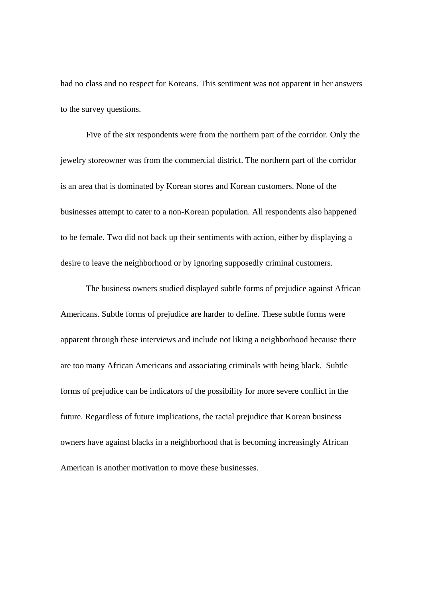had no class and no respect for Koreans. This sentiment was not apparent in her answers to the survey questions.

Five of the six respondents were from the northern part of the corridor. Only the jewelry storeowner was from the commercial district. The northern part of the corridor is an area that is dominated by Korean stores and Korean customers. None of the businesses attempt to cater to a non-Korean population. All respondents also happened to be female. Two did not back up their sentiments with action, either by displaying a desire to leave the neighborhood or by ignoring supposedly criminal customers.

The business owners studied displayed subtle forms of prejudice against African Americans. Subtle forms of prejudice are harder to define. These subtle forms were apparent through these interviews and include not liking a neighborhood because there are too many African Americans and associating criminals with being black. Subtle forms of prejudice can be indicators of the possibility for more severe conflict in the future. Regardless of future implications, the racial prejudice that Korean business owners have against blacks in a neighborhood that is becoming increasingly African American is another motivation to move these businesses.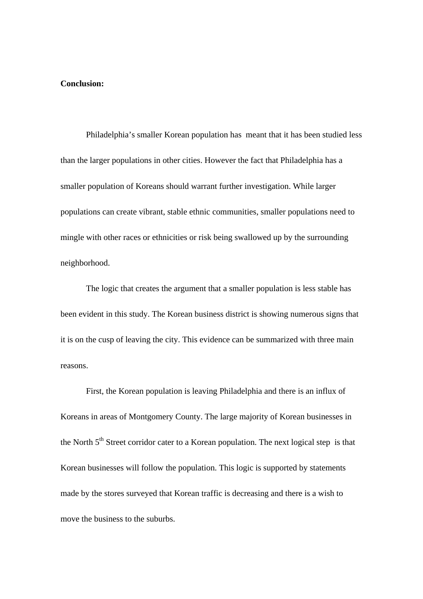# **Conclusion:**

Philadelphia's smaller Korean population has meant that it has been studied less than the larger populations in other cities. However the fact that Philadelphia has a smaller population of Koreans should warrant further investigation. While larger populations can create vibrant, stable ethnic communities, smaller populations need to mingle with other races or ethnicities or risk being swallowed up by the surrounding neighborhood.

 The logic that creates the argument that a smaller population is less stable has been evident in this study. The Korean business district is showing numerous signs that it is on the cusp of leaving the city. This evidence can be summarized with three main reasons.

First, the Korean population is leaving Philadelphia and there is an influx of Koreans in areas of Montgomery County. The large majority of Korean businesses in the North 5<sup>th</sup> Street corridor cater to a Korean population. The next logical step is that Korean businesses will follow the population. This logic is supported by statements made by the stores surveyed that Korean traffic is decreasing and there is a wish to move the business to the suburbs.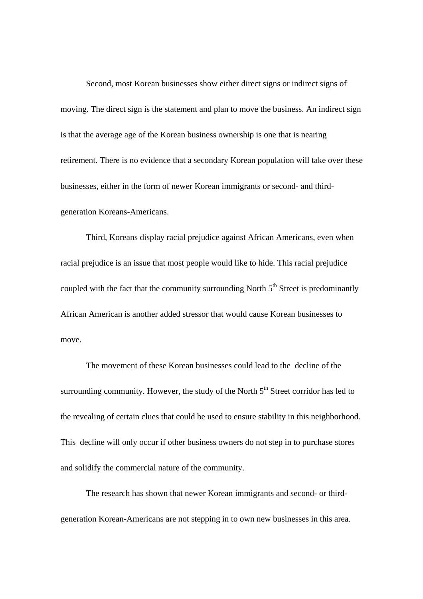Second, most Korean businesses show either direct signs or indirect signs of moving. The direct sign is the statement and plan to move the business. An indirect sign is that the average age of the Korean business ownership is one that is nearing retirement. There is no evidence that a secondary Korean population will take over these businesses, either in the form of newer Korean immigrants or second- and thirdgeneration Koreans-Americans.

Third, Koreans display racial prejudice against African Americans, even when racial prejudice is an issue that most people would like to hide. This racial prejudice coupled with the fact that the community surrounding North  $5<sup>th</sup>$  Street is predominantly African American is another added stressor that would cause Korean businesses to move.

 The movement of these Korean businesses could lead to the decline of the surrounding community. However, the study of the North  $5<sup>th</sup>$  Street corridor has led to the revealing of certain clues that could be used to ensure stability in this neighborhood. This decline will only occur if other business owners do not step in to purchase stores and solidify the commercial nature of the community.

 The research has shown that newer Korean immigrants and second- or thirdgeneration Korean-Americans are not stepping in to own new businesses in this area.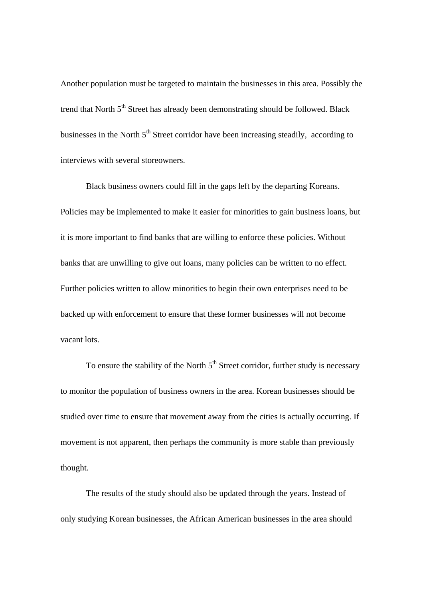Another population must be targeted to maintain the businesses in this area. Possibly the trend that North 5<sup>th</sup> Street has already been demonstrating should be followed. Black businesses in the North  $5<sup>th</sup>$  Street corridor have been increasing steadily, according to interviews with several storeowners.

 Black business owners could fill in the gaps left by the departing Koreans. Policies may be implemented to make it easier for minorities to gain business loans, but it is more important to find banks that are willing to enforce these policies. Without banks that are unwilling to give out loans, many policies can be written to no effect. Further policies written to allow minorities to begin their own enterprises need to be backed up with enforcement to ensure that these former businesses will not become vacant lots.

To ensure the stability of the North  $5<sup>th</sup>$  Street corridor, further study is necessary to monitor the population of business owners in the area. Korean businesses should be studied over time to ensure that movement away from the cities is actually occurring. If movement is not apparent, then perhaps the community is more stable than previously thought.

The results of the study should also be updated through the years. Instead of only studying Korean businesses, the African American businesses in the area should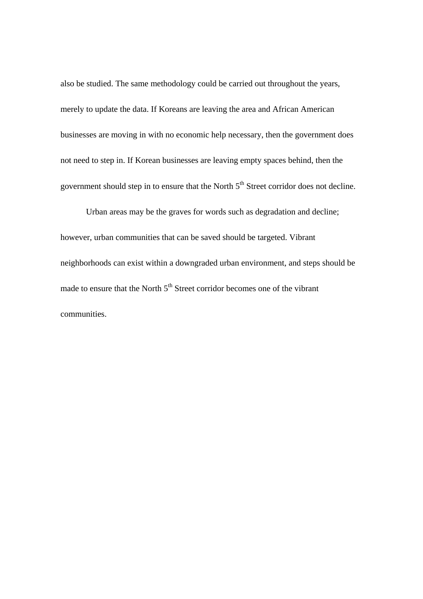also be studied. The same methodology could be carried out throughout the years, merely to update the data. If Koreans are leaving the area and African American businesses are moving in with no economic help necessary, then the government does not need to step in. If Korean businesses are leaving empty spaces behind, then the government should step in to ensure that the North  $5<sup>th</sup>$  Street corridor does not decline.

Urban areas may be the graves for words such as degradation and decline; however, urban communities that can be saved should be targeted. Vibrant neighborhoods can exist within a downgraded urban environment, and steps should be made to ensure that the North  $5<sup>th</sup>$  Street corridor becomes one of the vibrant communities.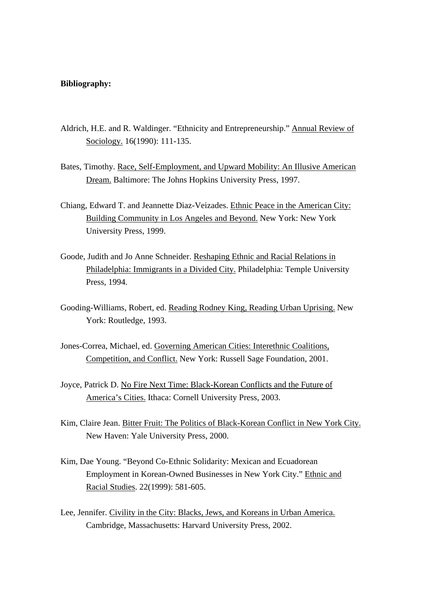#### **Bibliography:**

- Aldrich, H.E. and R. Waldinger. "Ethnicity and Entrepreneurship." Annual Review of Sociology. 16(1990): 111-135.
- Bates, Timothy. Race, Self-Employment, and Upward Mobility: An Illusive American Dream. Baltimore: The Johns Hopkins University Press, 1997.
- Chiang, Edward T. and Jeannette Diaz-Veizades. Ethnic Peace in the American City: Building Community in Los Angeles and Beyond. New York: New York University Press, 1999.
- Goode, Judith and Jo Anne Schneider. Reshaping Ethnic and Racial Relations in Philadelphia: Immigrants in a Divided City. Philadelphia: Temple University Press, 1994.
- Gooding-Williams, Robert, ed. Reading Rodney King, Reading Urban Uprising. New York: Routledge, 1993.
- Jones-Correa, Michael, ed. Governing American Cities: Interethnic Coalitions, Competition, and Conflict. New York: Russell Sage Foundation, 2001.
- Joyce, Patrick D. No Fire Next Time: Black-Korean Conflicts and the Future of America's Cities. Ithaca: Cornell University Press, 2003.
- Kim, Claire Jean. Bitter Fruit: The Politics of Black-Korean Conflict in New York City. New Haven: Yale University Press, 2000.
- Kim, Dae Young. "Beyond Co-Ethnic Solidarity: Mexican and Ecuadorean Employment in Korean-Owned Businesses in New York City." Ethnic and Racial Studies. 22(1999): 581-605.
- Lee, Jennifer. Civility in the City: Blacks, Jews, and Koreans in Urban America. Cambridge, Massachusetts: Harvard University Press, 2002.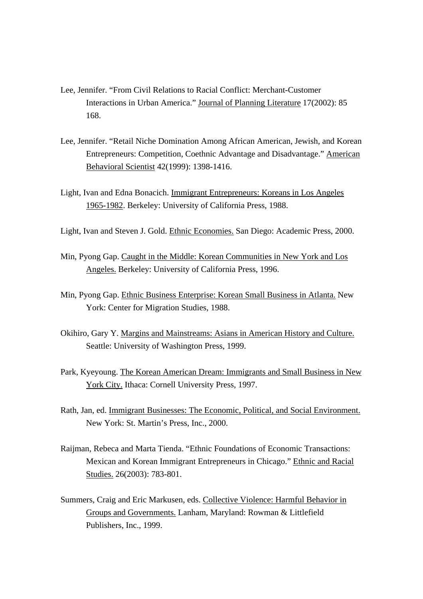- Lee, Jennifer. "From Civil Relations to Racial Conflict: Merchant-Customer Interactions in Urban America." Journal of Planning Literature 17(2002): 85 168.
- Lee, Jennifer. "Retail Niche Domination Among African American, Jewish, and Korean Entrepreneurs: Competition, Coethnic Advantage and Disadvantage." American Behavioral Scientist 42(1999): 1398-1416.
- Light, Ivan and Edna Bonacich. Immigrant Entrepreneurs: Koreans in Los Angeles 1965-1982. Berkeley: University of California Press, 1988.
- Light, Ivan and Steven J. Gold. Ethnic Economies. San Diego: Academic Press, 2000.
- Min, Pyong Gap. Caught in the Middle: Korean Communities in New York and Los Angeles. Berkeley: University of California Press, 1996.
- Min, Pyong Gap. Ethnic Business Enterprise: Korean Small Business in Atlanta. New York: Center for Migration Studies, 1988.
- Okihiro, Gary Y. Margins and Mainstreams: Asians in American History and Culture. Seattle: University of Washington Press, 1999.
- Park, Kyeyoung. The Korean American Dream: Immigrants and Small Business in New York City. Ithaca: Cornell University Press, 1997.
- Rath, Jan, ed. Immigrant Businesses: The Economic, Political, and Social Environment. New York: St. Martin's Press, Inc., 2000.
- Raijman, Rebeca and Marta Tienda. "Ethnic Foundations of Economic Transactions: Mexican and Korean Immigrant Entrepreneurs in Chicago." Ethnic and Racial Studies. 26(2003): 783-801.
- Summers, Craig and Eric Markusen, eds. Collective Violence: Harmful Behavior in Groups and Governments. Lanham, Maryland: Rowman & Littlefield Publishers, Inc., 1999.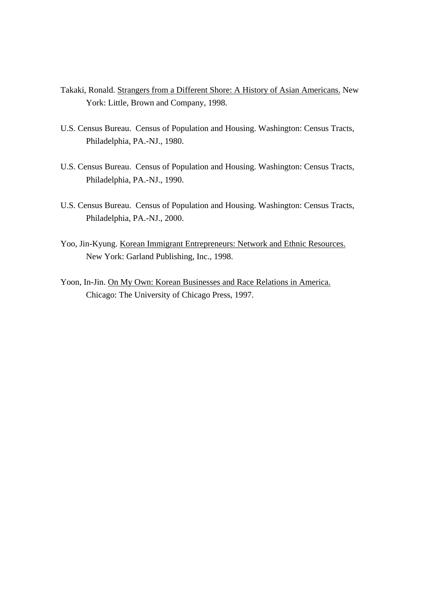- Takaki, Ronald. Strangers from a Different Shore: A History of Asian Americans. New York: Little, Brown and Company, 1998.
- U.S. Census Bureau. Census of Population and Housing. Washington: Census Tracts, Philadelphia, PA.-NJ., 1980.
- U.S. Census Bureau. Census of Population and Housing. Washington: Census Tracts, Philadelphia, PA.-NJ., 1990.
- U.S. Census Bureau. Census of Population and Housing. Washington: Census Tracts, Philadelphia, PA.-NJ., 2000.
- Yoo, Jin-Kyung. Korean Immigrant Entrepreneurs: Network and Ethnic Resources. New York: Garland Publishing, Inc., 1998.
- Yoon, In-Jin. On My Own: Korean Businesses and Race Relations in America. Chicago: The University of Chicago Press, 1997.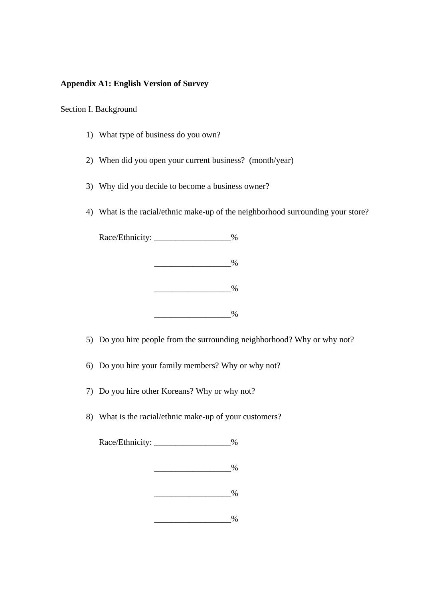## **Appendix A1: English Version of Survey**

#### Section I. Background

- 1) What type of business do you own?
- 2) When did you open your current business? (month/year)
- 3) Why did you decide to become a business owner?
- 4) What is the racial/ethnic make-up of the neighborhood surrounding your store?



5) Do you hire people from the surrounding neighborhood? Why or why not?

- 6) Do you hire your family members? Why or why not?
- 7) Do you hire other Koreans? Why or why not?
- 8) What is the racial/ethnic make-up of your customers?

Race/Ethnicity:  $\%$ 

 $\%$ 

|--|

 $\frac{0}{0}$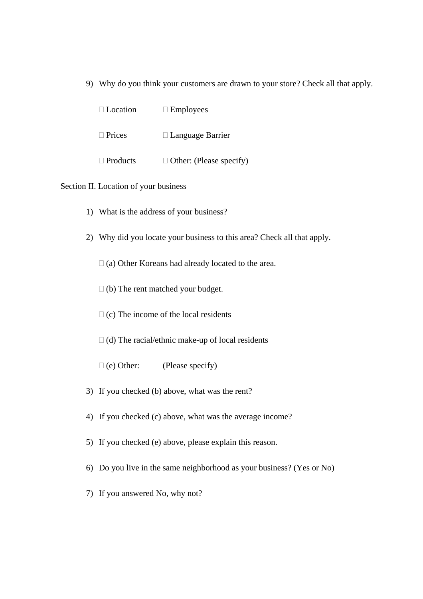9) Why do you think your customers are drawn to your store? Check all that apply.

| $\Box$ Location | $\Box$ Employees               |
|-----------------|--------------------------------|
| $\Box$ Prices   | $\Box$ Language Barrier        |
| $\Box$ Products | $\Box$ Other: (Please specify) |

## Section II. Location of your business

- 1) What is the address of your business?
- 2) Why did you locate your business to this area? Check all that apply.
	- $\Box$  (a) Other Koreans had already located to the area.
	- $\Box$  (b) The rent matched your budget.
	- $\Box$  (c) The income of the local residents
	- $\Box$  (d) The racial/ethnic make-up of local residents
	- $\Box$  (e) Other: (Please specify)
- 3) If you checked (b) above, what was the rent?
- 4) If you checked (c) above, what was the average income?
- 5) If you checked (e) above, please explain this reason.
- 6) Do you live in the same neighborhood as your business? (Yes or No)
- 7) If you answered No, why not?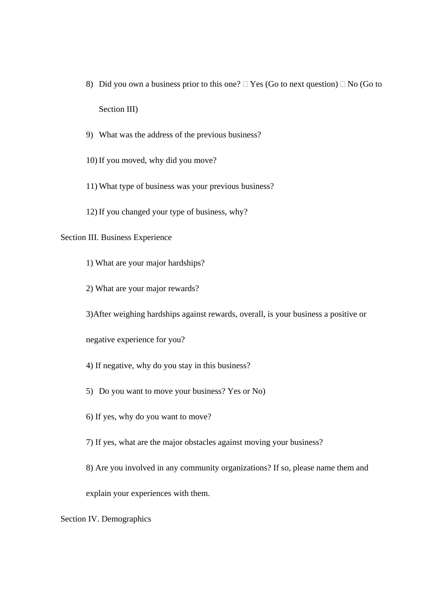- 8) Did you own a business prior to this one?  $\Box$  Yes (Go to next question)  $\Box$  No (Go to Section III)
- 9) What was the address of the previous business?
- 10) If you moved, why did you move?
- 11) What type of business was your previous business?
- 12) If you changed your type of business, why?

## Section III. Business Experience

- 1) What are your major hardships?
- 2) What are your major rewards?
- 3)After weighing hardships against rewards, overall, is your business a positive or

negative experience for you?

- 4) If negative, why do you stay in this business?
- 5) Do you want to move your business? Yes or No)
- 6) If yes, why do you want to move?
- 7) If yes, what are the major obstacles against moving your business?
- 8) Are you involved in any community organizations? If so, please name them and

explain your experiences with them.

Section IV. Demographics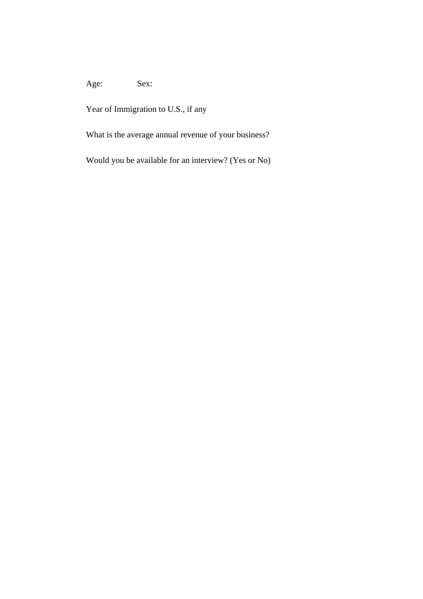# Age: Sex:

Year of Immigration to U.S., if any

What is the average annual revenue of your business?

Would you be available for an interview? (Yes or No)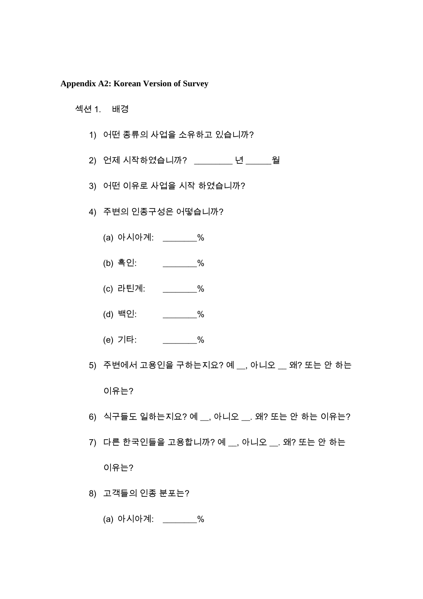#### **Appendix A2: Korean Version of Survey**

#### 섹션 1. 배경

- 1) 어떤 종류의 사업을 소유하고 있습니까?
- 2) 언제 시작하였습니까? \_\_\_\_\_\_\_\_\_ 년 \_\_\_\_\_\_월
- 3) 어떤 이유로 사업을 시작 하였습니까?
- 4) 주변의 인종구성은 어떻습니까?
	- (a) 아시아계: \_\_\_\_\_\_\_\_%
	- (b) 흑인: \_\_\_\_\_\_\_\_%
	- (c) 라틴계: \_\_\_\_\_\_\_\_%
	- (d) 백인: \_\_\_\_\_\_\_\_%
	- (e) 기타: \_\_\_\_\_\_\_\_%
- 5) 주변에서 고용인을 구하는지요? 예 \_\_, 아니오 \_\_ 왜? 또는 안 하는 이유는?
- $6)$  식구들도 일하는지요? 예, 아니오, 왜? 또는 안 하는 이유는?
- 7) 다른 한국인들을 고용합니까? 예 \_\_, 아니오 \_\_. 왜? 또는 안 하는

이유는?

- 8) 고객들의 인종 분포는?
	- (a) 아시아계: \_\_\_\_\_\_\_\_%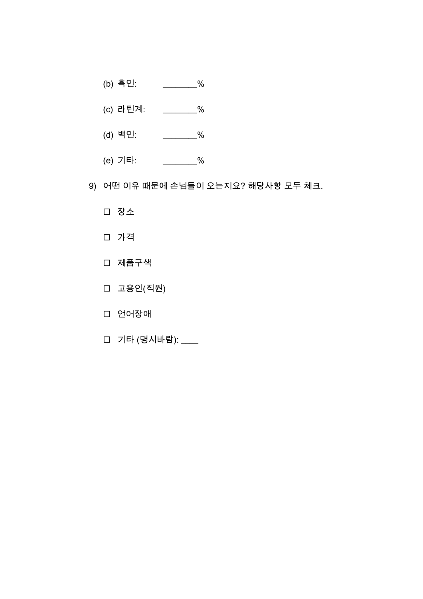- (b) 흑인: \_\_\_\_\_\_\_\_%
- (c) 라틴계: \_\_\_\_\_\_\_\_%
- (d) 백인: \_\_\_\_\_\_\_\_%
- (e) 기타: \_\_\_\_\_\_\_\_%
- 9) 어떤 이유 때문에 손님들이 오는지요? 해당사항 모두 체크.
	- 장소
	- 가격
	- 제품구색
	- 고용인(직원)
	- □ 언어장애
	- 기타 (명시바람): \_\_\_\_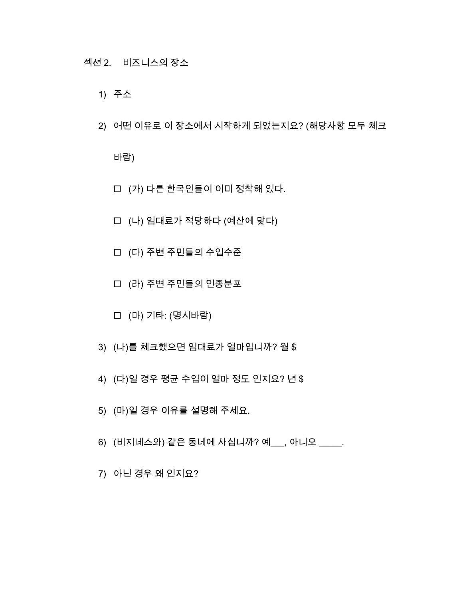- 1) 주소
- 2) 어떤 이유로 이 장소에서 시작하게 되었는지요? (해당사항 모두 체크

바람)

- (가) 다른 한국인들이 이미 정착해 있다.
- (나) 임대료가 적당하다 (예산에 맞다)
- (다) 주변 주민들의 수입수준
- (라) 주변 주민들의 인종분포
- (마) 기타: (명시바람)
- 3) (나)를 체크했으면 임대료가 얼마입니까? 월 \$
- 4) (다)일 경우 평균 수입이 얼마 정도 인지요? 년 \$
- 5) (마)일 경우 이유를 설명해 주세요.
- 6) (비지네스와) 같은 동네에 사십니까? 예\_\_\_, 아니오 \_\_\_\_\_.
- 7) 아닌 경우 왜 인지요?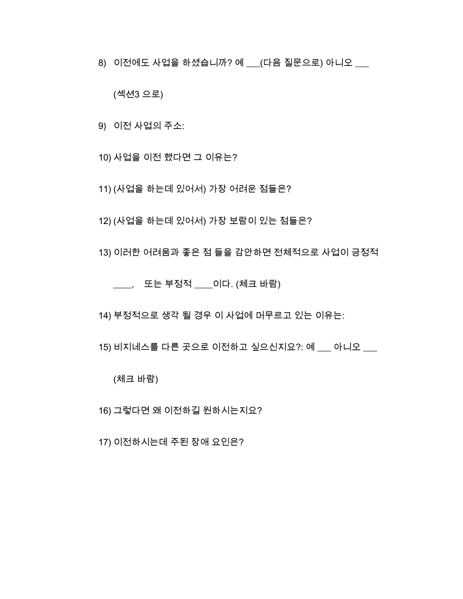8) 이전에도 사업을 하셨습니까? 예 \_\_\_(다음 질문으로) 아니오 \_\_\_

(섹션3 으로)

9) 이전 사업의 주소:

10) 사업을 이전 했다면 그 이유는?

11) (사업을 하는데 있어서) 가장 어려운 점들은?

12) (사업을 하는데 있어서) 가장 보람이 있는 점들은?

13) 이러한 어려움과 좋은 점 들을 감안하면 전체적으로 사업이 긍정적

\_\_\_\_, 또는 부정적 \_\_\_\_이다. (체크 바람)

14) 부정적으로 생각 될 경우 이 사업에 머무르고 있는 이유는:

15) 비지네스를 다른 곳으로 이전하고 싶으신지요?: 예 \_\_\_ 아니오

(체크 바람)

16) 그렇다면 왜 이전하길 원하시는지요?

17) 이전하시는데 주된 장애 요인은?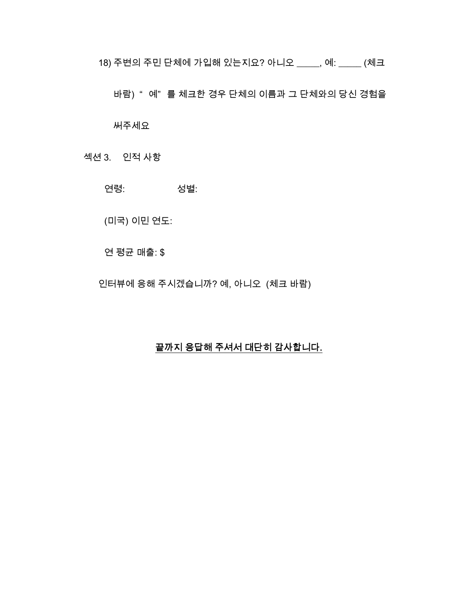18) 주변의 주민 단체에 가입해 있는지요? 아니오 \_\_\_\_\_, 예: \_\_\_\_\_ (체크

바람) " 예" 를 체크한 경우 단체의 이름과 그 단체와의 당신 경험을

써주세요

섹션 3. 인적 사항

연령: 성별:

(미국) 이민 연도:

연 평균 매출: \$

인터뷰에 응해 주시겠습니까? 예, 아니오 (체크 바람)

### 끝까지 응답해 주셔서 대단히 감사합니다.